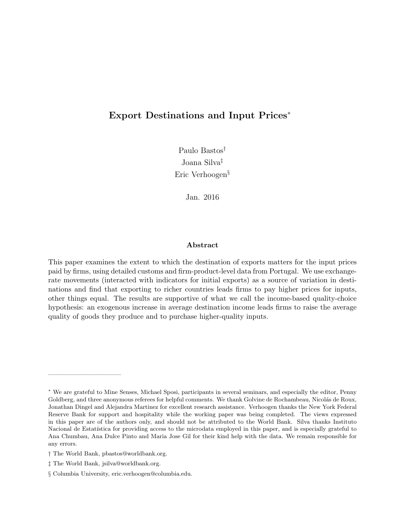# <span id="page-0-0"></span>Export Destinations and Input Prices<sup>∗</sup>

Paulo Bastos† Joana Silva‡ Eric Verhoogen§

Jan. 2016

### Abstract

This paper examines the extent to which the destination of exports matters for the input prices paid by firms, using detailed customs and firm-product-level data from Portugal. We use exchangerate movements (interacted with indicators for initial exports) as a source of variation in destinations and find that exporting to richer countries leads firms to pay higher prices for inputs, other things equal. The results are supportive of what we call the income-based quality-choice hypothesis: an exogenous increase in average destination income leads firms to raise the average quality of goods they produce and to purchase higher-quality inputs.

——————————

<sup>∗</sup> We are grateful to Mine Senses, Michael Sposi, participants in several seminars, and especially the editor, Penny Goldberg, and three anonymous referees for helpful comments. We thank Golvine de Rochambeau, Nicolás de Roux, Jonathan Dingel and Alejandra Martinez for excellent research assistance. Verhoogen thanks the New York Federal Reserve Bank for support and hospitality while the working paper was being completed. The views expressed in this paper are of the authors only, and should not be attributed to the World Bank. Silva thanks Instituto Nacional de Estatística for providing access to the microdata employed in this paper, and is especially grateful to Ana Chumbau, Ana Dulce Pinto and Maria Jose Gil for their kind help with the data. We remain responsible for any errors.

<sup>†</sup> The World Bank, pbastos@worldbank.org.

<sup>‡</sup> The World Bank, jsilva@worldbank.org.

<sup>§</sup> Columbia University, eric.verhoogen@columbia.edu.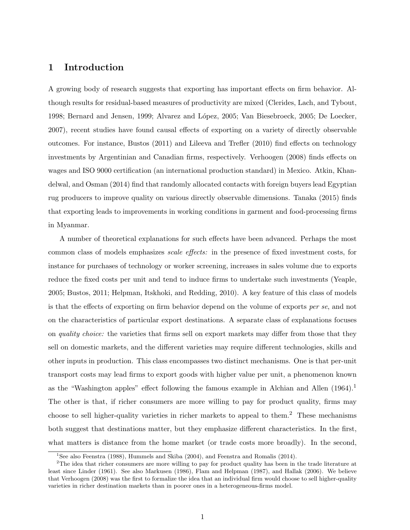# 1 Introduction

A growing body of research suggests that exporting has important effects on firm behavior. Although results for residual-based measures of productivity are mixed [\(Clerides, Lach, and Tybout,](#page-30-0) [1998;](#page-30-0) [Bernard and Jensen,](#page-29-0) [1999;](#page-29-0) [Alvarez and L´opez,](#page-29-1) [2005;](#page-29-1) [Van Biesebroeck,](#page-32-0) [2005;](#page-32-0) [De Loecker,](#page-30-1) [2007\)](#page-30-1), recent studies have found causal effects of exporting on a variety of directly observable outcomes. For instance, [Bustos](#page-30-2) [\(2011\)](#page-30-2) and [Lileeva and Trefler](#page-31-0) [\(2010\)](#page-31-0) find effects on technology investments by Argentinian and Canadian firms, respectively. [Verhoogen](#page-32-1) [\(2008\)](#page-32-1) finds effects on wages and ISO 9000 certification (an international production standard) in Mexico. [Atkin, Khan](#page-29-2)[delwal, and Osman](#page-29-2) [\(2014\)](#page-29-2) find that randomly allocated contacts with foreign buyers lead Egyptian rug producers to improve quality on various directly observable dimensions. [Tanaka](#page-32-2) [\(2015\)](#page-32-2) finds that exporting leads to improvements in working conditions in garment and food-processing firms in Myanmar.

A number of theoretical explanations for such effects have been advanced. Perhaps the most common class of models emphasizes scale effects: in the presence of fixed investment costs, for instance for purchases of technology or worker screening, increases in sales volume due to exports reduce the fixed costs per unit and tend to induce firms to undertake such investments [\(Yeaple,](#page-32-3) [2005;](#page-32-3) [Bustos,](#page-30-2) [2011;](#page-30-2) [Helpman, Itskhoki, and Redding,](#page-31-1) [2010\)](#page-31-1). A key feature of this class of models is that the effects of exporting on firm behavior depend on the volume of exports per se, and not on the characteristics of particular export destinations. A separate class of explanations focuses on *quality choice:* the varieties that firms sell on export markets may differ from those that they sell on domestic markets, and the different varieties may require different technologies, skills and other inputs in production. This class encompasses two distinct mechanisms. One is that per-unit transport costs may lead firms to export goods with higher value per unit, a phenomenon known as the "Washington apples" effect following the famous example in [Alchian and Allen](#page-29-3)  $(1964).$  $(1964).$ <sup>[1](#page-1-0)</sup> The other is that, if richer consumers are more willing to pay for product quality, firms may choose to sell higher-quality varieties in richer markets to appeal to them.<sup>[2](#page-1-1)</sup> These mechanisms both suggest that destinations matter, but they emphasize different characteristics. In the first, what matters is distance from the home market (or trade costs more broadly). In the second,

<span id="page-1-1"></span><span id="page-1-0"></span><sup>&</sup>lt;sup>1</sup>See also [Feenstra](#page-30-3) [\(1988\)](#page-30-3), [Hummels and Skiba](#page-31-2) [\(2004\)](#page-31-2), and [Feenstra and Romalis](#page-30-4) [\(2014\)](#page-30-4).

<sup>&</sup>lt;sup>2</sup>The idea that richer consumers are more willing to pay for product quality has been in the trade literature at least since [Linder](#page-31-3) [\(1961\)](#page-31-3). See also [Markusen](#page-31-4) [\(1986\)](#page-31-4), [Flam and Helpman](#page-30-5) [\(1987\)](#page-30-5), and [Hallak](#page-30-6) [\(2006\)](#page-30-6). We believe that [Verhoogen](#page-32-1) [\(2008\)](#page-32-1) was the first to formalize the idea that an individual firm would choose to sell higher-quality varieties in richer destination markets than in poorer ones in a heterogeneous-firms model.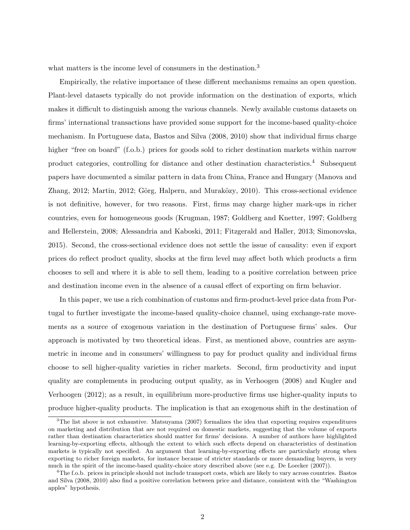what matters is the income level of consumers in the destination.<sup>[3](#page-2-0)</sup>

Empirically, the relative importance of these different mechanisms remains an open question. Plant-level datasets typically do not provide information on the destination of exports, which makes it difficult to distinguish among the various channels. Newly available customs datasets on firms' international transactions have provided some support for the income-based quality-choice mechanism. In Portuguese data, [Bastos and Silva](#page-29-4) [\(2008,](#page-29-4) [2010\)](#page-29-5) show that individual firms charge higher "free on board" (f.o.b.) prices for goods sold to richer destination markets within narrow product categories, controlling for distance and other destination characteristics.<sup>[4](#page-2-1)</sup> Subsequent papers have documented a similar pattern in data from China, France and Hungary [\(Manova and](#page-31-5) [Zhang,](#page-31-5) [2012;](#page-31-6) [Martin,](#page-31-6) 2012; Görg, Halpern, and Muraközy, [2010\)](#page-30-7). This cross-sectional evidence is not definitive, however, for two reasons. First, firms may charge higher mark-ups in richer countries, even for homogeneous goods [\(Krugman,](#page-31-7) [1987;](#page-31-7) [Goldberg and Knetter,](#page-30-8) [1997;](#page-30-8) [Goldberg](#page-30-9) [and Hellerstein,](#page-30-9) [2008;](#page-30-9) [Alessandria and Kaboski,](#page-29-6) [2011;](#page-29-6) [Fitzgerald and Haller,](#page-30-10) [2013;](#page-30-10) [Simonovska,](#page-31-8) [2015\)](#page-31-8). Second, the cross-sectional evidence does not settle the issue of causality: even if export prices do reflect product quality, shocks at the firm level may affect both which products a firm chooses to sell and where it is able to sell them, leading to a positive correlation between price and destination income even in the absence of a causal effect of exporting on firm behavior.

In this paper, we use a rich combination of customs and firm-product-level price data from Portugal to further investigate the income-based quality-choice channel, using exchange-rate movements as a source of exogenous variation in the destination of Portuguese firms' sales. Our approach is motivated by two theoretical ideas. First, as mentioned above, countries are asymmetric in income and in consumers' willingness to pay for product quality and individual firms choose to sell higher-quality varieties in richer markets. Second, firm productivity and input quality are complements in producing output quality, as in [Verhoogen](#page-32-1) [\(2008\)](#page-32-1) and [Kugler and](#page-31-9) [Verhoogen](#page-31-9) [\(2012\)](#page-31-9); as a result, in equilibrium more-productive firms use higher-quality inputs to produce higher-quality products. The implication is that an exogenous shift in the destination of

<span id="page-2-0"></span><sup>&</sup>lt;sup>3</sup>The list above is not exhaustive. [Matsuyama](#page-31-10) [\(2007\)](#page-31-10) formalizes the idea that exporting requires expenditures on marketing and distribution that are not required on domestic markets, suggesting that the volume of exports rather than destination characteristics should matter for firms' decisions. A number of authors have highlighted learning-by-exporting effects, although the extent to which such effects depend on characteristics of destination markets is typically not specified. An argument that learning-by-exporting effects are particularly strong when exporting to richer foreign markets, for instance because of stricter standards or more demanding buyers, is very much in the spirit of the income-based quality-choice story described above (see e.g. [De Loecker](#page-30-1) [\(2007\)](#page-30-1)).

<span id="page-2-1"></span><sup>4</sup>The f.o.b. prices in principle should not include transport costs, which are likely to vary across countries. [Bastos](#page-29-4) [and Silva](#page-29-4) [\(2008,](#page-29-4) [2010\)](#page-29-5) also find a positive correlation between price and distance, consistent with the "Washington apples" hypothesis.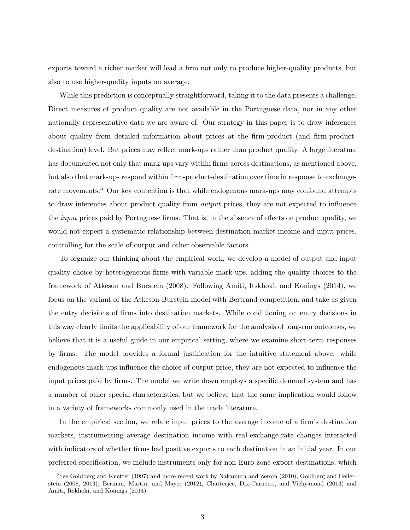exports toward a richer market will lead a firm not only to produce higher-quality products, but also to use higher-quality inputs on average.

While this prediction is conceptually straightforward, taking it to the data presents a challenge. Direct measures of product quality are not available in the Portuguese data, nor in any other nationally representative data we are aware of. Our strategy in this paper is to draw inferences about quality from detailed information about prices at the firm-product (and firm-productdestination) level. But prices may reflect mark-ups rather than product quality. A large literature has documented not only that mark-ups vary within firms across destinations, as mentioned above, but also that mark-ups respond within firm-product-destination over time in response to exchange-rate movements.<sup>[5](#page-3-0)</sup> Our key contention is that while endogenous mark-ups may confound attempts to draw inferences about product quality from *output* prices, they are not expected to influence the input prices paid by Portuguese firms. That is, in the absence of effects on product quality, we would not expect a systematic relationship between destination-market income and input prices, controlling for the scale of output and other observable factors.

To organize our thinking about the empirical work, we develop a model of output and input quality choice by heterogeneous firms with variable mark-ups, adding the quality choices to the framework of [Atkeson and Burstein](#page-29-7) [\(2008\)](#page-29-7). Following [Amiti, Itskhoki, and Konings](#page-29-8) [\(2014\)](#page-29-8), we focus on the variant of the Atkeson-Burstein model with Bertrand competition, and take as given the entry decisions of firms into destination markets. While conditioning on entry decisions in this way clearly limits the applicability of our framework for the analysis of long-run outcomes, we believe that it is a useful guide in our empirical setting, where we examine short-term responses by firms. The model provides a formal justification for the intuitive statement above: while endogenous mark-ups influence the choice of output price, they are not expected to influence the input prices paid by firms. The model we write down employs a specific demand system and has a number of other special characteristics, but we believe that the same implication would follow in a variety of frameworks commonly used in the trade literature.

In the empirical section, we relate input prices to the average income of a firm's destination markets, instrumenting average destination income with real-exchange-rate changes interacted with indicators of whether firms had positive exports to each destination in an initial year. In our preferred specification, we include instruments only for non-Euro-zone export destinations, which

<span id="page-3-0"></span><sup>&</sup>lt;sup>5</sup>See [Goldberg and Knetter](#page-30-8) [\(1997\)](#page-30-8) and more recent work by [Nakamura and Zerom](#page-31-11) [\(2010\)](#page-31-11), [Goldberg and Heller](#page-30-9)[stein](#page-30-9) [\(2008,](#page-30-9) [2013\)](#page-30-11), [Berman, Martin, and Mayer](#page-29-9) [\(2012\)](#page-29-9), [Chatterjee, Dix-Carneiro, and Vichyanond](#page-30-12) [\(2013\)](#page-30-12) and [Amiti, Itskhoki, and Konings](#page-29-8) [\(2014\)](#page-29-8).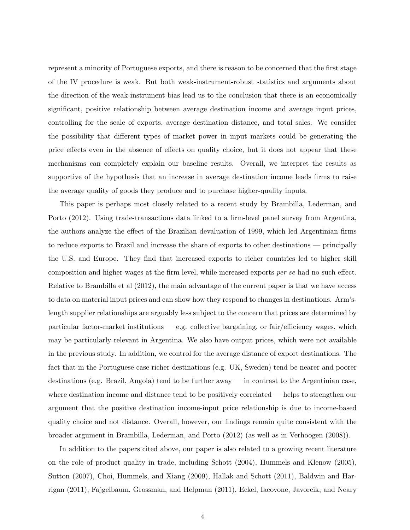represent a minority of Portuguese exports, and there is reason to be concerned that the first stage of the IV procedure is weak. But both weak-instrument-robust statistics and arguments about the direction of the weak-instrument bias lead us to the conclusion that there is an economically significant, positive relationship between average destination income and average input prices, controlling for the scale of exports, average destination distance, and total sales. We consider the possibility that different types of market power in input markets could be generating the price effects even in the absence of effects on quality choice, but it does not appear that these mechanisms can completely explain our baseline results. Overall, we interpret the results as supportive of the hypothesis that an increase in average destination income leads firms to raise the average quality of goods they produce and to purchase higher-quality inputs.

This paper is perhaps most closely related to a recent study by [Brambilla, Lederman, and](#page-29-10) [Porto](#page-29-10) [\(2012\)](#page-29-10). Using trade-transactions data linked to a firm-level panel survey from Argentina, the authors analyze the effect of the Brazilian devaluation of 1999, which led Argentinian firms to reduce exports to Brazil and increase the share of exports to other destinations — principally the U.S. and Europe. They find that increased exports to richer countries led to higher skill composition and higher wages at the firm level, while increased exports per se had no such effect. Relative to Brambilla et al [\(2012\)](#page-29-10), the main advantage of the current paper is that we have access to data on material input prices and can show how they respond to changes in destinations. Arm'slength supplier relationships are arguably less subject to the concern that prices are determined by particular factor-market institutions — e.g. collective bargaining, or fair/efficiency wages, which may be particularly relevant in Argentina. We also have output prices, which were not available in the previous study. In addition, we control for the average distance of export destinations. The fact that in the Portuguese case richer destinations (e.g. UK, Sweden) tend be nearer and poorer destinations (e.g. Brazil, Angola) tend to be further away — in contrast to the Argentinian case, where destination income and distance tend to be positively correlated — helps to strengthen our argument that the positive destination income-input price relationship is due to income-based quality choice and not distance. Overall, however, our findings remain quite consistent with the broader argument in [Brambilla, Lederman, and Porto](#page-29-10) [\(2012\)](#page-29-10) (as well as in [Verhoogen](#page-32-1) [\(2008\)](#page-32-1)).

In addition to the papers cited above, our paper is also related to a growing recent literature on the role of product quality in trade, including [Schott](#page-31-12) [\(2004\)](#page-31-12), [Hummels and Klenow](#page-31-13) [\(2005\)](#page-31-13), [Sutton](#page-32-4) [\(2007\)](#page-32-4), [Choi, Hummels, and Xiang](#page-30-13) [\(2009\)](#page-30-13), [Hallak and Schott](#page-30-14) [\(2011\)](#page-30-14), [Baldwin and Har](#page-29-11)[rigan](#page-29-11) [\(2011\)](#page-29-11), [Fajgelbaum, Grossman, and Helpman](#page-30-15) [\(2011\)](#page-30-15), [Eckel, Iacovone, Javorcik, and Neary](#page-30-16)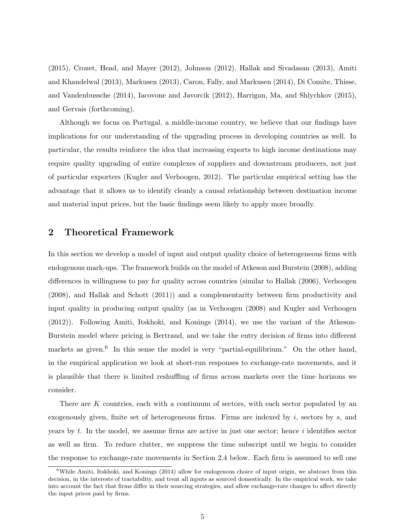[\(2015\)](#page-30-16), [Crozet, Head, and Mayer](#page-30-17) [\(2012\)](#page-30-17), [Johnson](#page-31-14) [\(2012\)](#page-31-14), [Hallak and Sivadasan](#page-30-18) [\(2013\)](#page-30-18), [Amiti](#page-29-12) [and Khandelwal](#page-29-12) [\(2013\)](#page-29-12), [Markusen](#page-31-15) [\(2013\)](#page-31-15), [Caron, Fally, and Markusen](#page-30-19) [\(2014\)](#page-30-19), [Di Comite, Thisse,](#page-30-20) [and Vandenbussche](#page-30-20) [\(2014\)](#page-30-20), [Iacovone and Javorcik](#page-31-16) [\(2012\)](#page-31-16), [Harrigan, Ma, and Shlychkov](#page-31-17) [\(2015\)](#page-31-17), and [Gervais](#page-30-21) [\(forthcoming\)](#page-30-21).

Although we focus on Portugal, a middle-income country, we believe that our findings have implications for our understanding of the upgrading process in developing countries as well. In particular, the results reinforce the idea that increasing exports to high income destinations may require quality upgrading of entire complexes of suppliers and downstream producers, not just of particular exporters [\(Kugler and Verhoogen,](#page-31-9) [2012\)](#page-31-9). The particular empirical setting has the advantage that it allows us to identify cleanly a causal relationship between destination income and material input prices, but the basic findings seem likely to apply more broadly.

# 2 Theoretical Framework

In this section we develop a model of input and output quality choice of heterogeneous firms with endogenous mark-ups. The framework builds on the model of [Atkeson and Burstein](#page-29-7) [\(2008\)](#page-29-7), adding differences in willingness to pay for quality across countries (similar to [Hallak](#page-30-6) [\(2006\)](#page-30-6), [Verhoogen](#page-32-1) [\(2008\)](#page-32-1), and [Hallak and Schott](#page-30-14) [\(2011\)](#page-30-14)) and a complementarity between firm productivity and input quality in producing output quality (as in [Verhoogen](#page-32-1) [\(2008\)](#page-32-1) and [Kugler and Verhoogen](#page-31-9) [\(2012\)](#page-31-9)). Following [Amiti, Itskhoki, and Konings](#page-29-8) [\(2014\)](#page-29-8), we use the variant of the Atkeson-Burstein model where pricing is Bertrand, and we take the entry decision of firms into different markets as given.<sup>[6](#page-5-0)</sup> In this sense the model is very "partial-equilibrium." On the other hand, in the empirical application we look at short-run responses to exchange-rate movements, and it is plausible that there is limited reshuffling of firms across markets over the time horizons we consider.

There are K countries, each with a continuum of sectors, with each sector populated by an exogenously given, finite set of heterogeneous firms. Firms are indexed by  $i$ , sectors by  $s$ , and years by  $t$ . In the model, we assume firms are active in just one sector; hence  $i$  identifies sector as well as firm. To reduce clutter, we suppress the time subscript until we begin to consider the response to exchange-rate movements in Section [2.4](#page-10-0) below. Each firm is assumed to sell one

<span id="page-5-0"></span><sup>&</sup>lt;sup>6</sup>While [Amiti, Itskhoki, and Konings](#page-29-8) [\(2014\)](#page-29-8) allow for endogenous choice of input origin, we abstract from this decision, in the interests of tractability, and treat all inputs as sourced domestically. In the empirical work, we take into account the fact that firms differ in their sourcing strategies, and allow exchange-rate changes to affect directly the input prices paid by firms.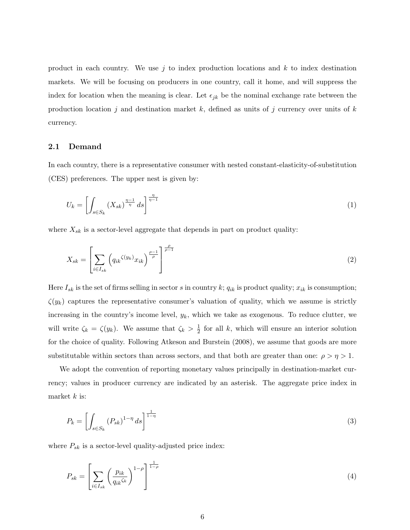product in each country. We use j to index production locations and  $k$  to index destination markets. We will be focusing on producers in one country, call it home, and will suppress the index for location when the meaning is clear. Let  $\epsilon_{jk}$  be the nominal exchange rate between the production location j and destination market k, defined as units of j currency over units of k currency.

### 2.1 Demand

In each country, there is a representative consumer with nested constant-elasticity-of-substitution (CES) preferences. The upper nest is given by:

$$
U_k = \left[ \int_{s \in S_k} \left( X_{sk} \right)^{\frac{\eta - 1}{\eta}} ds \right]^{\frac{\eta}{\eta - 1}} \tag{1}
$$

where  $X_{sk}$  is a sector-level aggregate that depends in part on product quality:

$$
X_{sk} = \left[ \sum_{i \in I_{sk}} \left( q_{ik}^{\zeta(y_k)} x_{ik} \right)^{\frac{\rho - 1}{\rho}} \right]^{\frac{\rho}{\rho - 1}} \tag{2}
$$

Here  $I_{sk}$  is the set of firms selling in sector s in country k;  $q_{ik}$  is product quality;  $x_{ik}$  is consumption;  $\zeta(y_k)$  captures the representative consumer's valuation of quality, which we assume is strictly increasing in the country's income level,  $y_k$ , which we take as exogenous. To reduce clutter, we will write  $\zeta_k = \zeta(y_k)$ . We assume that  $\zeta_k > \frac{1}{2}$  $\frac{1}{2}$  for all k, which will ensure an interior solution for the choice of quality. Following [Atkeson and Burstein](#page-29-7) [\(2008\)](#page-29-7), we assume that goods are more substitutable within sectors than across sectors, and that both are greater than one:  $\rho > \eta > 1$ .

We adopt the convention of reporting monetary values principally in destination-market currency; values in producer currency are indicated by an asterisk. The aggregate price index in market  $k$  is:

$$
P_k = \left[ \int_{s \in S_k} (P_{sk})^{1-\eta} ds \right]^{\frac{1}{1-\eta}}
$$
\n
$$
\tag{3}
$$

where  $P_{sk}$  is a sector-level quality-adjusted price index:

$$
P_{sk} = \left[ \sum_{i \in I_{sk}} \left( \frac{p_{ik}}{q_{ik} \zeta_k} \right)^{1-\rho} \right]^{\frac{1}{1-\rho}}
$$
\n
$$
\tag{4}
$$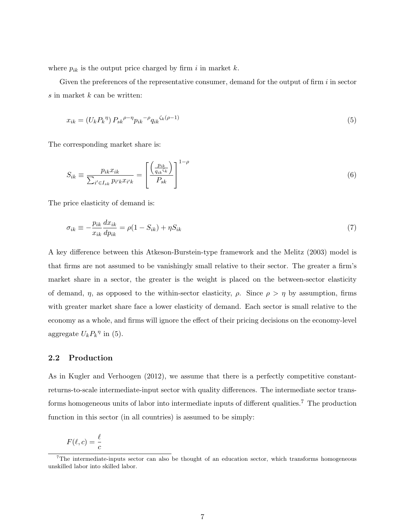where  $p_{ik}$  is the output price charged by firm i in market k.

Given the preferences of the representative consumer, demand for the output of firm  $i$  in sector  $s$  in market  $k$  can be written:

<span id="page-7-3"></span><span id="page-7-0"></span>
$$
x_{ik} = (U_k P_k^{\ \eta}) P_{sk}^{\ \rho - \eta} p_{ik}^{\ \ \rho - \rho} q_{ik}^{\ \ \zeta_k(\rho - 1)} \tag{5}
$$

The corresponding market share is:

$$
S_{ik} \equiv \frac{p_{ik}x_{ik}}{\sum_{i' \in I_{sk}} p_{i'k}x_{i'k}} = \left[\frac{\left(\frac{p_{ik}}{q_{ik}\zeta_k}\right)}{P_{sk}}\right]^{1-\rho}
$$
(6)

The price elasticity of demand is:

<span id="page-7-2"></span>
$$
\sigma_{ik} \equiv -\frac{p_{ik}}{x_{ik}} \frac{dx_{ik}}{dp_{ik}} = \rho (1 - S_{ik}) + \eta S_{ik}
$$
\n<sup>(7)</sup>

A key difference between this Atkeson-Burstein-type framework and the [Melitz](#page-31-18) [\(2003\)](#page-31-18) model is that firms are not assumed to be vanishingly small relative to their sector. The greater a firm's market share in a sector, the greater is the weight is placed on the between-sector elasticity of demand,  $\eta$ , as opposed to the within-sector elasticity,  $\rho$ . Since  $\rho > \eta$  by assumption, firms with greater market share face a lower elasticity of demand. Each sector is small relative to the economy as a whole, and firms will ignore the effect of their pricing decisions on the economy-level aggregate  $U_k P_k^{\eta}$  in [\(5\)](#page-7-0).

## 2.2 Production

As in [Kugler and Verhoogen](#page-31-9) [\(2012\)](#page-31-9), we assume that there is a perfectly competitive constantreturns-to-scale intermediate-input sector with quality differences. The intermediate sector trans-forms homogeneous units of labor into intermediate inputs of different qualities.<sup>[7](#page-7-1)</sup> The production function in this sector (in all countries) is assumed to be simply:

$$
F(\ell, c) = \frac{\ell}{c}
$$

<span id="page-7-1"></span> $7$ The intermediate-inputs sector can also be thought of an education sector, which transforms homogeneous unskilled labor into skilled labor.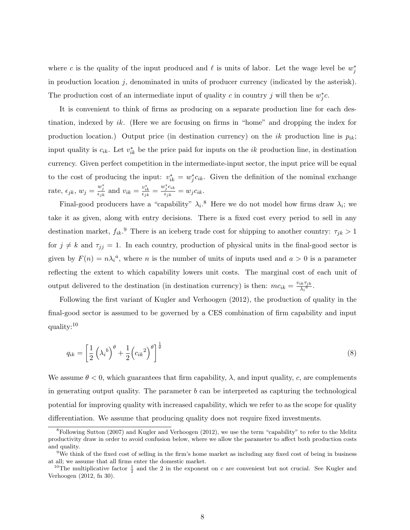where c is the quality of the input produced and  $\ell$  is units of labor. Let the wage level be  $w_j^*$ in production location  $j$ , denominated in units of producer currency (indicated by the asterisk). The production cost of an intermediate input of quality c in country j will then be  $w_j^*c$ .

It is convenient to think of firms as producing on a separate production line for each destination, indexed by ik. (Here we are focusing on firms in "home" and dropping the index for production location.) Output price (in destination currency) on the ik production line is  $p_{ik}$ ; input quality is  $c_{ik}$ . Let  $v_{ik}^*$  be the price paid for inputs on the ik production line, in destination currency. Given perfect competition in the intermediate-input sector, the input price will be equal to the cost of producing the input:  $v_{ik}^* = w_j^* c_{ik}$ . Given the definition of the nominal exchange rate,  $\epsilon_{jk}$ ,  $w_j = \frac{w_j^*}{\epsilon_{jk}}$  and  $v_{ik} = \frac{v_{ik}^*}{\epsilon_{jk}} = \frac{w_j^* c_{ik}}{\epsilon_{jk}}$  $\frac{d_j C_{ik}}{\epsilon_{jk}} = w_j c_{ik}.$ 

Final-good producers have a "capability"  $\lambda_i$ .<sup>[8](#page-8-0)</sup> Here we do not model how firms draw  $\lambda_i$ ; we take it as given, along with entry decisions. There is a fixed cost every period to sell in any destination market,  $f_{ik}$ <sup>[9](#page-8-1)</sup>. There is an iceberg trade cost for shipping to another country:  $\tau_{jk} > 1$ for  $j \neq k$  and  $\tau_{jj} = 1$ . In each country, production of physical units in the final-good sector is given by  $F(n) = n\lambda_i^a$ , where *n* is the number of units of inputs used and  $a > 0$  is a parameter reflecting the extent to which capability lowers unit costs. The marginal cost of each unit of output delivered to the destination (in destination currency) is then:  $mc_{ik} = \frac{v_{ik}\tau_{jk}}{\lambda_i^a}$  $\frac{ik^Tjk}{\lambda_i^a}$ .

Following the first variant of [Kugler and Verhoogen](#page-31-9) [\(2012\)](#page-31-9), the production of quality in the final-good sector is assumed to be governed by a CES combination of firm capability and input quality:[10](#page-8-2)

$$
q_{ik} = \left[\frac{1}{2}\left(\lambda_i^{\ b}\right)^{\theta} + \frac{1}{2}\left(c_{ik}^{\ 2}\right)^{\theta}\right]^{\frac{1}{\theta}}
$$
\n
$$
\tag{8}
$$

We assume  $\theta < 0$ , which guarantees that firm capability,  $\lambda$ , and input quality, c, are complements in generating output quality. The parameter  $b$  can be interpreted as capturing the technological potential for improving quality with increased capability, which we refer to as the scope for quality differentiation. We assume that producing quality does not require fixed investments.

<span id="page-8-0"></span><sup>8</sup>Following [Sutton](#page-32-4) [\(2007\)](#page-32-4) and [Kugler and Verhoogen](#page-31-9) [\(2012\)](#page-31-9), we use the term "capability" to refer to the Melitz productivity draw in order to avoid confusion below, where we allow the parameter to affect both production costs and quality.

<span id="page-8-1"></span><sup>9</sup>We think of the fixed cost of selling in the firm's home market as including any fixed cost of being in business at all; we assume that all firms enter the domestic market.

<span id="page-8-2"></span><sup>&</sup>lt;sup>10</sup>The multiplicative factor  $\frac{1}{2}$  and the 2 in the exponent on c are convenient but not crucial. See [Kugler and](#page-31-9) [Verhoogen](#page-31-9) [\(2012,](#page-31-9) fn 30).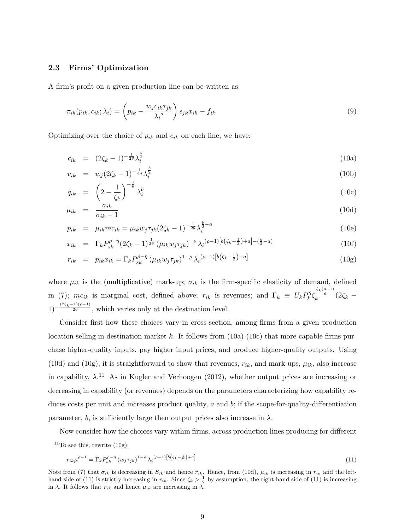### 2.3 Firms' Optimization

A firm's profit on a given production line can be written as:

$$
\pi_{ik}(p_{ik}, c_{ik}; \lambda_i) = \left(p_{ik} - \frac{w_j c_{ik} \tau_{jk}}{\lambda_i^a}\right) \epsilon_{jk} x_{ik} - f_{ik}
$$
\n(9)

Optimizing over the choice of  $p_{ik}$  and  $c_{ik}$  on each line, we have:

<span id="page-9-0"></span>
$$
c_{ik} = (2\zeta_k - 1)^{-\frac{1}{2\theta}} \lambda_i^{\frac{b}{2}} \tag{10a}
$$

$$
v_{ik} = w_j (2\zeta_k - 1)^{-\frac{1}{2\theta}} \lambda_i^{\frac{b}{2}} \tag{10b}
$$

$$
q_{ik} = \left(2 - \frac{1}{\zeta_k}\right)^{-\frac{1}{\theta}} \lambda_i^b \tag{10c}
$$

$$
\mu_{ik} = \frac{\sigma_{ik}}{\sigma_{ik} - 1} \tag{10d}
$$

$$
p_{ik} = \mu_{ik} m c_{ik} = \mu_{ik} w_j \tau_{jk} (2\zeta_k - 1)^{-\frac{1}{2\theta}} \lambda_i^{\frac{b}{2} - a}
$$
(10e)

$$
x_{ik} = \Gamma_k P_{sk}^{\rho - \eta} (2\zeta_k - 1)^{\frac{1}{2\theta}} \left( \mu_{ik} w_j \tau_{jk} \right)^{-\rho} \lambda_i^{(\rho - 1)} \left[ b(\zeta_k - \frac{1}{2}) + a \right] - \left( \frac{b}{2} - a \right) \tag{10f}
$$

$$
r_{ik} = p_{ik}x_{ik} = \Gamma_k P_{sk}^{\rho - \eta} \left( \mu_{ik} w_j \tau_{jk} \right)^{1 - \rho} \lambda_i^{(\rho - 1)} \left[ b \left( \zeta_k - \frac{1}{2} \right) + a \right] \tag{10g}
$$

where  $\mu_{ik}$  is the (multiplicative) mark-up;  $\sigma_{ik}$  is the firm-specific elasticity of demand, defined in [\(7\)](#page-7-2);  $mc_{ik}$  is marginal cost, defined above;  $r_{ik}$  is revenues; and  $\Gamma_k \equiv U_k P_k^{\eta}$  $\int_k^{\eta} \zeta_k^{\frac{\zeta_k(\rho-1)}{\theta}} (2\zeta_k 1)^{-\frac{(2\zeta_k-1)(\rho-1)}{2\theta}}$ , which varies only at the destination level.

Consider first how these choices vary in cross-section, among firms from a given production location selling in destination market k. It follows from  $(10a)-(10c)$  $(10a)-(10c)$  that more-capable firms purchase higher-quality inputs, pay higher input prices, and produce higher-quality outputs. Using [\(10d\)](#page-9-0) and [\(10g\)](#page-9-0), it is straightforward to show that revenues,  $r_{ik}$ , and mark-ups,  $\mu_{ik}$ , also increase in capability,  $\lambda$ .<sup>[11](#page-9-1)</sup> As in [Kugler and Verhoogen](#page-31-9) [\(2012\)](#page-31-9), whether output prices are increasing or decreasing in capability (or revenues) depends on the parameters characterizing how capability reduces costs per unit and increases product quality, a and b; if the scope-for-quality-differentiation parameter, b, is sufficiently large then output prices also increase in  $\lambda$ .

Now consider how the choices vary within firms, across production lines producing for different

<span id="page-9-2"></span>
$$
r_{ik}\mu^{\rho-1} = \Gamma_k P_{sk}^{\rho-\eta} (w_j \tau_{jk})^{1-\rho} \lambda_i^{(\rho-1)} [b(\zeta_k - \frac{1}{2}) + a] \tag{11}
$$

<span id="page-9-1"></span> $11$ To see this, rewrite  $(10g)$ :

Note from [\(7\)](#page-7-2) that  $\sigma_{ik}$  is decreasing in  $S_{ik}$  and hence  $r_{ik}$ . Hence, from [\(10d\)](#page-9-0),  $\mu_{ik}$  is increasing in  $r_{ik}$  and the left-hand side of [\(11\)](#page-9-2) is strictly increasing in  $r_{ik}$ . Since  $\zeta_k > \frac{1}{2}$  by assumption, the right-hand side of (11) is increasing in  $\lambda$ . It follows that  $r_{ik}$  and hence  $\mu_{ik}$  are increasing in  $\lambda$ .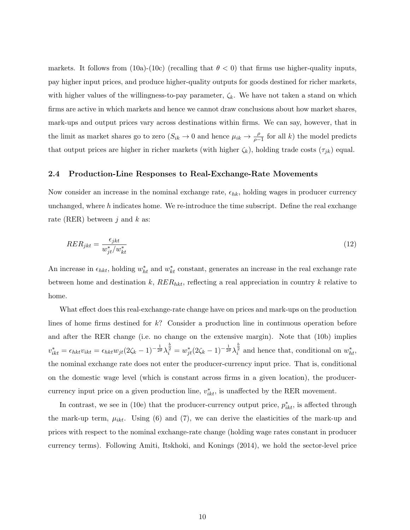markets. It follows from [\(10a\)](#page-9-0)-[\(10c\)](#page-9-0) (recalling that  $\theta < 0$ ) that firms use higher-quality inputs, pay higher input prices, and produce higher-quality outputs for goods destined for richer markets, with higher values of the willingness-to-pay parameter,  $\zeta_k$ . We have not taken a stand on which firms are active in which markets and hence we cannot draw conclusions about how market shares, mark-ups and output prices vary across destinations within firms. We can say, however, that in the limit as market shares go to zero  $(S_{ik} \to 0$  and hence  $\mu_{ik} \to \frac{\rho}{\rho-1}$  for all k) the model predicts that output prices are higher in richer markets (with higher  $\zeta_k$ ), holding trade costs  $(\tau_{jk})$  equal.

### <span id="page-10-0"></span>2.4 Production-Line Responses to Real-Exchange-Rate Movements

Now consider an increase in the nominal exchange rate,  $\epsilon_{hk}$ , holding wages in producer currency unchanged, where  $h$  indicates home. We re-introduce the time subscript. Define the real exchange rate (RER) between j and k as:

<span id="page-10-1"></span>
$$
RER_{jkt} = \frac{\epsilon_{jkt}}{w_{jt}^*/w_{kt}^*}
$$
\n<sup>(12)</sup>

An increase in  $\epsilon_{hkt}$ , holding  $w_{ht}^*$  and  $w_{kt}^*$  constant, generates an increase in the real exchange rate between home and destination k,  $RER_{hkt}$ , reflecting a real appreciation in country k relative to home.

What effect does this real-exchange-rate change have on prices and mark-ups on the production lines of home firms destined for k? Consider a production line in continuous operation before and after the RER change (i.e. no change on the extensive margin). Note that [\(10b\)](#page-9-0) implies  $v_{ikt}^* = \epsilon_{hkt}v_{ikt} = \epsilon_{hkt}w_{jt}(2\zeta_k - 1)^{-\frac{1}{2\theta}}\lambda_i^{\frac{b}{2}} = w_{jt}^*(2\zeta_k - 1)^{-\frac{1}{2\theta}}\lambda_i^{\frac{b}{2}}$  and hence that, conditional on  $w_{ht}^*$ , the nominal exchange rate does not enter the producer-currency input price. That is, conditional on the domestic wage level (which is constant across firms in a given location), the producercurrency input price on a given production line,  $v_{ikt}^*$ , is unaffected by the RER movement.

In contrast, we see in [\(10e\)](#page-9-0) that the producer-currency output price,  $p_{ikt}^*$ , is affected through the mark-up term,  $\mu_{ikt}$ . Using [\(6\)](#page-7-3) and [\(7\)](#page-7-2), we can derive the elasticities of the mark-up and prices with respect to the nominal exchange-rate change (holding wage rates constant in producer currency terms). Following [Amiti, Itskhoki, and Konings](#page-29-8) [\(2014\)](#page-29-8), we hold the sector-level price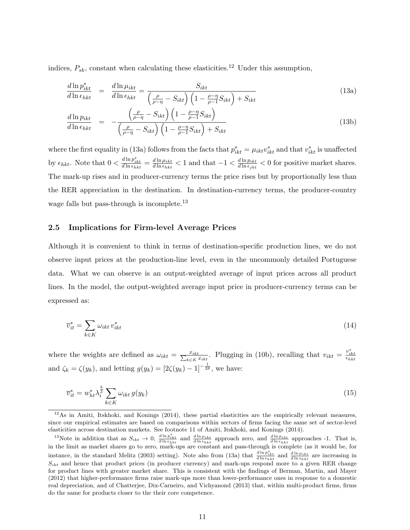indices,  $P_{sk}$ , constant when calculating these elasticities.<sup>[12](#page-11-0)</sup> Under this assumption,

<span id="page-11-1"></span>
$$
\frac{d\ln p_{ikt}^*}{d\ln \epsilon_{hkt}} = \frac{d\ln \mu_{ikt}}{d\ln \epsilon_{hkt}} = \frac{S_{ikt}}{\left(\frac{\rho}{\rho - \eta} - S_{ikt}\right) \left(1 - \frac{\rho - \eta}{\rho - 1} S_{ikt}\right) + S_{ikt}}\tag{13a}
$$

$$
\frac{d \ln p_{ikt}}{d \ln \epsilon_{hkt}} = -\frac{\left(\frac{\rho}{\rho - \eta} - S_{ikt}\right) \left(1 - \frac{\rho - \eta}{\rho - 1} S_{ikt}\right)}{\left(\frac{\rho}{\rho - \eta} - S_{ikt}\right) \left(1 - \frac{\rho - \eta}{\rho - 1} S_{ikt}\right) + S_{ikt}}\n\tag{13b}
$$

where the first equality in [\(13a\)](#page-11-1) follows from the facts that  $p_{ikt}^* = \mu_{ikt} v_{ikt}^*$  and that  $v_{ikt}^*$  is unaffected by  $\epsilon_{hkt}$ . Note that  $0 < \frac{d \ln p_{ikt}^*}{d \ln \epsilon_{hkt}} = \frac{d \ln \mu_{ikt}}{d \ln \epsilon_{hkt}}$  $\frac{d \ln \mu_{ikt}}{d \ln \epsilon_{hkt}} < 1$  and that  $-1 < \frac{d \ln p_{ikt}}{d \ln \epsilon_{jkt}}$  $\frac{d \ln p_{ikt}}{d \ln \epsilon_{jkt}} < 0$  for positive market shares. The mark-up rises and in producer-currency terms the price rises but by proportionally less than the RER appreciation in the destination. In destination-currency terms, the producer-country wage falls but pass-through is incomplete.<sup>[13](#page-11-2)</sup>

### 2.5 Implications for Firm-level Average Prices

Although it is convenient to think in terms of destination-specific production lines, we do not observe input prices at the production-line level, even in the uncommonly detailed Portuguese data. What we can observe is an output-weighted average of input prices across all product lines. In the model, the output-weighted average input price in producer-currency terms can be expressed as:

$$
\overline{v}_{it}^* = \sum_{k \in K} \omega_{ikt} v_{ikt}^* \tag{14}
$$

where the weights are defined as  $\omega_{ikt} = \frac{x_{ikt}}{\sum_{k \in K} x_{ikt}}$ . Plugging in [\(10b\)](#page-9-0), recalling that  $v_{ikt} = \frac{v_{ikt}^*}{\epsilon_{hkt}}$ and  $\zeta_k = \zeta(y_k)$ , and letting  $g(y_k) = [2\zeta(y_k) - 1]^{-\frac{1}{2\theta}}$ , we have:

<span id="page-11-3"></span>
$$
\overline{v}_{it}^* = w_{ht}^* \lambda_i^{\frac{b}{2}} \sum_{k \in K} \omega_{ikt} g(y_k)
$$
\n
$$
(15)
$$

<span id="page-11-0"></span> $12\text{As}$  in [Amiti, Itskhoki, and Konings](#page-29-8) [\(2014\)](#page-29-8), these partial elasticities are the empirically relevant measures, since our empirical estimates are based on comparisons within sectors of firms facing the same set of sector-level elasticities across destination markets. See footnote 11 of [Amiti, Itskhoki, and Konings](#page-29-8) [\(2014\)](#page-29-8).

<span id="page-11-2"></span><sup>&</sup>lt;sup>13</sup>Note in addition that as  $S_{ikt} \rightarrow 0$ ,  $\frac{d \ln p_{ikt}^*}{d \ln \epsilon_{hkt}}$  and  $\frac{d \ln \mu_{ikt}}{d \ln \epsilon_{hkt}}$  approach zero, and  $\frac{d \ln p_{ikt}}{d \ln \epsilon_{hkt}}$  approaches -1. That is, in the limit as market shares go to zero, mark-ups are constant and pass-through is complete (as it would be, for instance, in the standard [Melitz](#page-31-18) [\(2003\)](#page-31-18) setting). Note also from [\(13a\)](#page-11-1) that  $\frac{d \ln p_{ikt}^*}{d \ln \epsilon_{hkt}}$  and  $\frac{d \ln \mu_{ikt}}{d \ln \epsilon_{hkt}}$  are increasing in  $S_{ikt}$  and hence that product prices (in producer currency) and mark-ups respond more to a given RER change for product lines with greater market share. This is consistent with the findings of [Berman, Martin, and Mayer](#page-29-9) [\(2012\)](#page-29-9) that higher-performance firms raise mark-ups more than lower-performance ones in response to a domestic real depreciation, and of [Chatterjee, Dix-Carneiro, and Vichyanond](#page-30-12) [\(2013\)](#page-30-12) that, within multi-product firms, firms do the same for products closer to the their core competence.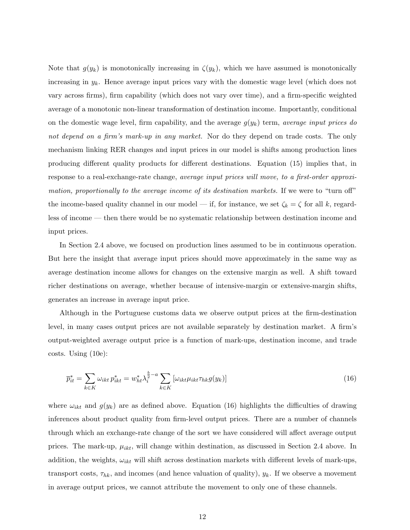Note that  $g(y_k)$  is monotonically increasing in  $\zeta(y_k)$ , which we have assumed is monotonically increasing in  $y_k$ . Hence average input prices vary with the domestic wage level (which does not vary across firms), firm capability (which does not vary over time), and a firm-specific weighted average of a monotonic non-linear transformation of destination income. Importantly, conditional on the domestic wage level, firm capability, and the average  $g(y_k)$  term, average input prices do not depend on a firm's mark-up in any market. Nor do they depend on trade costs. The only mechanism linking RER changes and input prices in our model is shifts among production lines producing different quality products for different destinations. Equation [\(15\)](#page-11-3) implies that, in response to a real-exchange-rate change, average input prices will move, to a first-order approximation, proportionally to the average income of its destination markets. If we were to "turn off" the income-based quality channel in our model — if, for instance, we set  $\zeta_k = \zeta$  for all k, regardless of income — then there would be no systematic relationship between destination income and input prices.

In Section [2.4](#page-10-0) above, we focused on production lines assumed to be in continuous operation. But here the insight that average input prices should move approximately in the same way as average destination income allows for changes on the extensive margin as well. A shift toward richer destinations on average, whether because of intensive-margin or extensive-margin shifts, generates an increase in average input price.

Although in the Portuguese customs data we observe output prices at the firm-destination level, in many cases output prices are not available separately by destination market. A firm's output-weighted average output price is a function of mark-ups, destination income, and trade costs. Using [\(10e\)](#page-9-0):

<span id="page-12-0"></span>
$$
\overline{p}_{it}^* = \sum_{k \in K} \omega_{ikt} \, p_{ikt}^* = w_{ht}^* \lambda_i^{\frac{b}{2} - a} \sum_{k \in K} \left[ \omega_{ikt} \mu_{ikt} \tau_{hk} g(y_k) \right] \tag{16}
$$

where  $\omega_{ikt}$  and  $g(y_k)$  are as defined above. Equation [\(16\)](#page-12-0) highlights the difficulties of drawing inferences about product quality from firm-level output prices. There are a number of channels through which an exchange-rate change of the sort we have considered will affect average output prices. The mark-up,  $\mu_{ikt}$ , will change within destination, as discussed in Section [2.4](#page-10-0) above. In addition, the weights,  $\omega_{ikt}$  will shift across destination markets with different levels of mark-ups, transport costs,  $\tau_{hk}$ , and incomes (and hence valuation of quality),  $y_k$ . If we observe a movement in average output prices, we cannot attribute the movement to only one of these channels.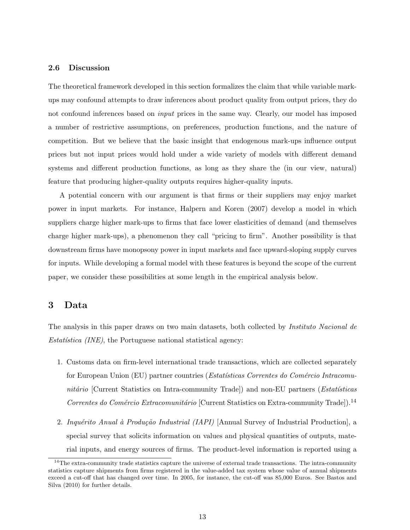### <span id="page-13-2"></span>2.6 Discussion

The theoretical framework developed in this section formalizes the claim that while variable markups may confound attempts to draw inferences about product quality from output prices, they do not confound inferences based on *input* prices in the same way. Clearly, our model has imposed a number of restrictive assumptions, on preferences, production functions, and the nature of competition. But we believe that the basic insight that endogenous mark-ups influence output prices but not input prices would hold under a wide variety of models with different demand systems and different production functions, as long as they share the (in our view, natural) feature that producing higher-quality outputs requires higher-quality inputs.

A potential concern with our argument is that firms or their suppliers may enjoy market power in input markets. For instance, [Halpern and Koren](#page-31-19) [\(2007\)](#page-31-19) develop a model in which suppliers charge higher mark-ups to firms that face lower elasticities of demand (and themselves charge higher mark-ups), a phenomenon they call "pricing to firm". Another possibility is that downstream firms have monopsony power in input markets and face upward-sloping supply curves for inputs. While developing a formal model with these features is beyond the scope of the current paper, we consider these possibilities at some length in the empirical analysis below.

# <span id="page-13-1"></span>3 Data

The analysis in this paper draws on two main datasets, both collected by *Instituto Nacional de*  $Estatística$  (INE), the Portuguese national statistical agency:

- 1. Customs data on firm-level international trade transactions, which are collected separately for European Union (EU) partner countries (*Estatísticas Correntes do Comércio Intracomu*nitário [Current Statistics on Intra-community Trade]) and non-EU partners (*Estatísticas* Correntes do Comércio Extracomunitário [Current Statistics on Extra-community Trade]).<sup>[14](#page-13-0)</sup>
- 2. Inquérito Anual à Produção Industrial (IAPI) [Annual Survey of Industrial Production], a special survey that solicits information on values and physical quantities of outputs, material inputs, and energy sources of firms. The product-level information is reported using a

<span id="page-13-0"></span><sup>&</sup>lt;sup>14</sup>The extra-community trade statistics capture the universe of external trade transactions. The intra-community statistics capture shipments from firms registered in the value-added tax system whose value of annual shipments exceed a cut-off that has changed over time. In 2005, for instance, the cut-off was 85,000 Euros. See [Bastos and](#page-29-5) [Silva](#page-29-5) [\(2010\)](#page-29-5) for further details.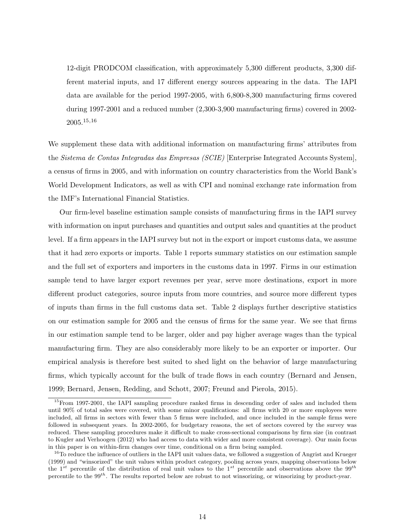12-digit PRODCOM classification, with approximately 5,300 different products, 3,300 different material inputs, and 17 different energy sources appearing in the data. The IAPI data are available for the period 1997-2005, with 6,800-8,300 manufacturing firms covered during 1997-2001 and a reduced number (2,300-3,900 manufacturing firms) covered in 2002- 2005.[15](#page-14-0),[16](#page-14-1)

We supplement these data with additional information on manufacturing firms' attributes from the Sistema de Contas Integradas das Empresas (SCIE) [Enterprise Integrated Accounts System], a census of firms in 2005, and with information on country characteristics from the World Bank's World Development Indicators, as well as with CPI and nominal exchange rate information from the IMF's International Financial Statistics.

Our firm-level baseline estimation sample consists of manufacturing firms in the IAPI survey with information on input purchases and quantities and output sales and quantities at the product level. If a firm appears in the IAPI survey but not in the export or import customs data, we assume that it had zero exports or imports. Table [1](#page-33-0) reports summary statistics on our estimation sample and the full set of exporters and importers in the customs data in 1997. Firms in our estimation sample tend to have larger export revenues per year, serve more destinations, export in more different product categories, source inputs from more countries, and source more different types of inputs than firms in the full customs data set. Table [2](#page-34-0) displays further descriptive statistics on our estimation sample for 2005 and the census of firms for the same year. We see that firms in our estimation sample tend to be larger, older and pay higher average wages than the typical manufacturing firm. They are also considerably more likely to be an exporter or importer. Our empirical analysis is therefore best suited to shed light on the behavior of large manufacturing firms, which typically account for the bulk of trade flows in each country [\(Bernard and Jensen,](#page-29-0) [1999;](#page-29-0) [Bernard, Jensen, Redding, and Schott,](#page-29-13) [2007;](#page-29-13) [Freund and Pierola,](#page-30-22) [2015\)](#page-30-22).

<span id="page-14-0"></span><sup>&</sup>lt;sup>15</sup>From 1997-2001, the IAPI sampling procedure ranked firms in descending order of sales and included them until 90% of total sales were covered, with some minor qualifications: all firms with 20 or more employees were included, all firms in sectors with fewer than 5 firms were included, and once included in the sample firms were followed in subsequent years. In 2002-2005, for budgetary reasons, the set of sectors covered by the survey was reduced. These sampling procedures make it difficult to make cross-sectional comparisons by firm size (in contrast to [Kugler and Verhoogen](#page-31-9) [\(2012\)](#page-31-9) who had access to data with wider and more consistent coverage). Our main focus in this paper is on within-firm changes over time, conditional on a firm being sampled.

<span id="page-14-1"></span><sup>&</sup>lt;sup>16</sup>To reduce the influence of outliers in the IAPI unit values data, we followed a suggestion of [Angrist and Krueger](#page-29-14) [\(1999\)](#page-29-14) and "winsorized" the unit values within product category, pooling across years, mapping observations below the 1<sup>st</sup> percentile of the distribution of real unit values to the 1<sup>st</sup> percentile and observations above the 99<sup>th</sup> percentile to the  $99^{th}$ . The results reported below are robust to not winsorizing, or winsorizing by product-year.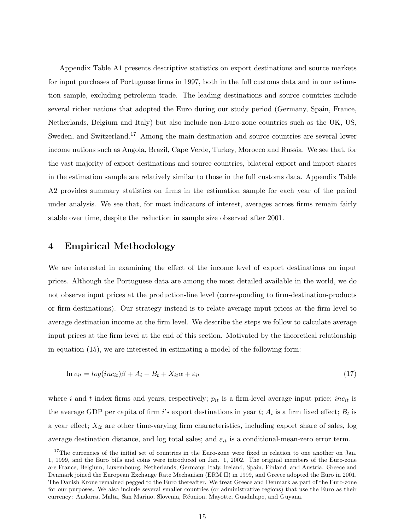Appendix Table [A1](#page-33-0) presents descriptive statistics on export destinations and source markets for input purchases of Portuguese firms in 1997, both in the full customs data and in our estimation sample, excluding petroleum trade. The leading destinations and source countries include several richer nations that adopted the Euro during our study period (Germany, Spain, France, Netherlands, Belgium and Italy) but also include non-Euro-zone countries such as the UK, US, Sweden, and Switzerland.<sup>[17](#page-15-0)</sup> Among the main destination and source countries are several lower income nations such as Angola, Brazil, Cape Verde, Turkey, Morocco and Russia. We see that, for the vast majority of export destinations and source countries, bilateral export and import shares in the estimation sample are relatively similar to those in the full customs data. Appendix Table [A2](#page-34-0) provides summary statistics on firms in the estimation sample for each year of the period under analysis. We see that, for most indicators of interest, averages across firms remain fairly stable over time, despite the reduction in sample size observed after 2001.

## <span id="page-15-2"></span>4 Empirical Methodology

We are interested in examining the effect of the income level of export destinations on input prices. Although the Portuguese data are among the most detailed available in the world, we do not observe input prices at the production-line level (corresponding to firm-destination-products or firm-destinations). Our strategy instead is to relate average input prices at the firm level to average destination income at the firm level. We describe the steps we follow to calculate average input prices at the firm level at the end of this section. Motivated by the theoretical relationship in equation [\(15\)](#page-11-3), we are interested in estimating a model of the following form:

<span id="page-15-1"></span>
$$
\ln \overline{v}_{it} = \log(\text{inc}_{it})\beta + A_i + B_t + X_{it}\alpha + \varepsilon_{it} \tag{17}
$$

where i and t index firms and years, respectively;  $p_{it}$  is a firm-level average input price; inc<sub>it</sub> is the average GDP per capita of firm *i*'s export destinations in year  $t$ ;  $A_i$  is a firm fixed effect;  $B_t$  is a year effect;  $X_{it}$  are other time-varying firm characteristics, including export share of sales, log average destination distance, and log total sales; and  $\varepsilon_{it}$  is a conditional-mean-zero error term.

<span id="page-15-0"></span><sup>&</sup>lt;sup>17</sup>The currencies of the initial set of countries in the Euro-zone were fixed in relation to one another on Jan. 1, 1999, and the Euro bills and coins were introduced on Jan. 1, 2002. The original members of the Euro-zone are France, Belgium, Luxembourg, Netherlands, Germany, Italy, Ireland, Spain, Finland, and Austria. Greece and Denmark joined the European Exchange Rate Mechanism (ERM II) in 1999, and Greece adopted the Euro in 2001. The Danish Krone remained pegged to the Euro thereafter. We treat Greece and Denmark as part of the Euro-zone for our purposes. We also include several smaller countries (or administrative regions) that use the Euro as their currency: Andorra, Malta, San Marino, Slovenia, R´eunion, Mayotte, Guadalupe, and Guyana.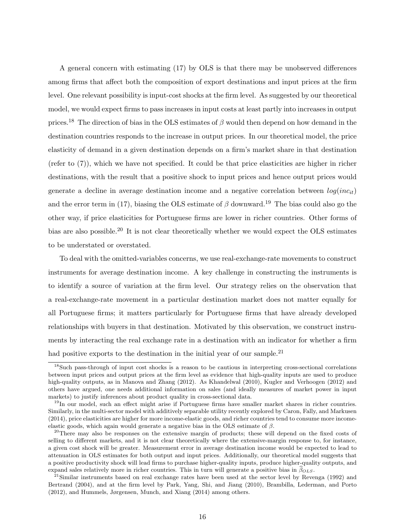A general concern with estimating [\(17\)](#page-15-1) by OLS is that there may be unobserved differences among firms that affect both the composition of export destinations and input prices at the firm level. One relevant possibility is input-cost shocks at the firm level. As suggested by our theoretical model, we would expect firms to pass increases in input costs at least partly into increases in output prices.<sup>[18](#page-16-0)</sup> The direction of bias in the OLS estimates of  $\beta$  would then depend on how demand in the destination countries responds to the increase in output prices. In our theoretical model, the price elasticity of demand in a given destination depends on a firm's market share in that destination (refer to  $(7)$ ), which we have not specified. It could be that price elasticities are higher in richer destinations, with the result that a positive shock to input prices and hence output prices would generate a decline in average destination income and a negative correlation between  $log(inc_{it})$ and the error term in [\(17\)](#page-15-1), biasing the OLS estimate of  $\beta$  downward.<sup>[19](#page-16-1)</sup> The bias could also go the other way, if price elasticities for Portuguese firms are lower in richer countries. Other forms of bias are also possible.<sup>[20](#page-16-2)</sup> It is not clear theoretically whether we would expect the OLS estimates to be understated or overstated.

To deal with the omitted-variables concerns, we use real-exchange-rate movements to construct instruments for average destination income. A key challenge in constructing the instruments is to identify a source of variation at the firm level. Our strategy relies on the observation that a real-exchange-rate movement in a particular destination market does not matter equally for all Portuguese firms; it matters particularly for Portuguese firms that have already developed relationships with buyers in that destination. Motivated by this observation, we construct instruments by interacting the real exchange rate in a destination with an indicator for whether a firm had positive exports to the destination in the initial year of our sample.<sup>[21](#page-16-3)</sup>

<span id="page-16-0"></span><sup>18</sup>Such pass-through of input cost shocks is a reason to be cautious in interpreting cross-sectional correlations between input prices and output prices at the firm level as evidence that high-quality inputs are used to produce high-quality outputs, as in [Manova and Zhang](#page-31-5) [\(2012\)](#page-31-9). As [Khandelwal](#page-31-20) [\(2010\)](#page-31-20), [Kugler and Verhoogen](#page-31-9) (2012) and others have argued, one needs additional information on sales (and ideally measures of market power in input markets) to justify inferences about product quality in cross-sectional data.

<span id="page-16-1"></span><sup>&</sup>lt;sup>19</sup>In our model, such an effect might arise if Portuguese firms have smaller market shares in richer countries. Similarly, in the multi-sector model with additively separable utility recently explored by [Caron, Fally, and Markusen](#page-30-19) [\(2014\)](#page-30-19), price elasticities are higher for more income-elastic goods, and richer countries tend to consume more incomeelastic goods, which again would generate a negative bias in the OLS estimate of  $\beta$ .

<span id="page-16-2"></span><sup>&</sup>lt;sup>20</sup>There may also be responses on the extensive margin of products; these will depend on the fixed costs of selling to different markets, and it is not clear theoretically where the extensive-margin response to, for instance, a given cost shock will be greater. Measurement error in average destination income would be expected to lead to attenuation in OLS estimates for both output and input prices. Additionally, our theoretical model suggests that a positive productivity shock will lead firms to purchase higher-quality inputs, produce higher-quality outputs, and expand sales relatively more in richer countries. This in turn will generate a positive bias in  $\hat{\beta}_{OLS}$ .

<span id="page-16-3"></span> $21$ Similar instruments based on real exchange rates have been used at the sector level by [Revenga](#page-31-21) [\(1992\)](#page-31-21) and [Bertrand](#page-29-15) [\(2004\)](#page-29-15), and at the firm level by [Park, Yang, Shi, and Jiang](#page-31-22) [\(2010\)](#page-31-22), [Brambilla, Lederman, and Porto](#page-29-10) [\(2012\)](#page-29-10), and [Hummels, Jørgensen, Munch, and Xiang](#page-31-23) [\(2014\)](#page-31-23) among others.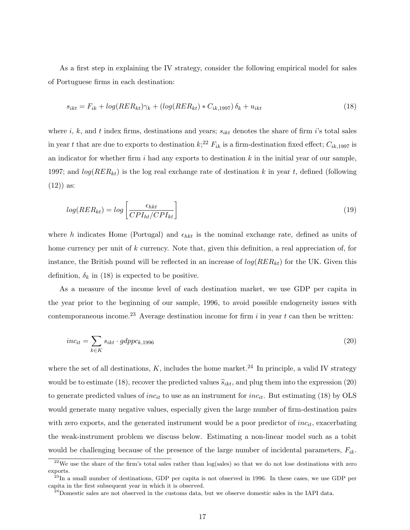As a first step in explaining the IV strategy, consider the following empirical model for sales of Portuguese firms in each destination:

<span id="page-17-1"></span>
$$
s_{ikt} = F_{ik} + \log(RER_{kt})\gamma_k + (\log(RER_{kt}) \cdot C_{ik,1997})\delta_k + u_{ikt}
$$
\n
$$
\tag{18}
$$

where i, k, and t index firms, destinations and years;  $s_{ikt}$  denotes the share of firm i's total sales in year t that are due to exports to destination  $k$ ;<sup>[22](#page-17-0)</sup>  $F_{ik}$  is a firm-destination fixed effect;  $C_{ik,1997}$  is an indicator for whether firm i had any exports to destination  $k$  in the initial year of our sample, 1997; and  $log(RER_{kt})$  is the log real exchange rate of destination k in year t, defined (following  $(12)$  as:

<span id="page-17-5"></span>
$$
log(RER_{kt}) = log\left[\frac{\epsilon_{hkt}}{CPI_{ht}/CPI_{kt}}\right]
$$
\n(19)

where h indicates Home (Portugal) and  $\epsilon_{hkt}$  is the nominal exchange rate, defined as units of home currency per unit of k currency. Note that, given this definition, a real appreciation of, for instance, the British pound will be reflected in an increase of  $log(RER_{kt})$  for the UK. Given this definition,  $\delta_k$  in [\(18\)](#page-17-1) is expected to be positive.

As a measure of the income level of each destination market, we use GDP per capita in the year prior to the beginning of our sample, 1996, to avoid possible endogeneity issues with contemporaneous income.<sup>[23](#page-17-2)</sup> Average destination income for firm i in year t can then be written:

<span id="page-17-4"></span>
$$
inc_{it} = \sum_{k \in K} s_{ikt} \cdot gdppc_{k,1996} \tag{20}
$$

where the set of all destinations, K, includes the home market.<sup>[24](#page-17-3)</sup> In principle, a valid IV strategy would be to estimate [\(18\)](#page-17-1), recover the predicted values  $\hat{s}_{ikt}$ , and plug them into the expression [\(20\)](#page-17-4) to generate predicted values of  $inc_{it}$  to use as an instrument for  $inc_{it}$ . But estimating [\(18\)](#page-17-1) by OLS would generate many negative values, especially given the large number of firm-destination pairs with zero exports, and the generated instrument would be a poor predictor of  $inc_{it}$ , exacerbating the weak-instrument problem we discuss below. Estimating a non-linear model such as a tobit would be challenging because of the presence of the large number of incidental parameters,  $F_{ik}$ .

<span id="page-17-0"></span> $22$ We use the share of the firm's total sales rather than log(sales) so that we do not lose destinations with zero exports.

<span id="page-17-2"></span> $^{23}$ In a small number of destinations, GDP per capita is not observed in 1996. In these cases, we use GDP per capita in the first subsequent year in which it is observed.

<span id="page-17-3"></span> $^{24}$ Domestic sales are not observed in the customs data, but we observe domestic sales in the IAPI data.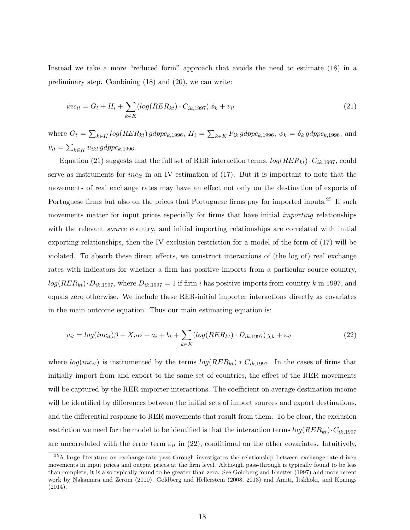Instead we take a more "reduced form" approach that avoids the need to estimate [\(18\)](#page-17-1) in a preliminary step. Combining [\(18\)](#page-17-1) and [\(20\)](#page-17-4), we can write:

<span id="page-18-0"></span>
$$
inc_{it} = G_t + H_i + \sum_{k \in K} (log(RER_{kt}) \cdot C_{ik, 1997}) \phi_k + v_{it}
$$
\n(21)

where  $G_t = \sum_{k \in K} log(RER_{kt}) gdppc_{k,1996}$ ,  $H_i = \sum_{k \in K} F_{ik} gdppc_{k,1996}$ ,  $\phi_k = \delta_k gdppc_{k,1996}$ , and  $v_{it} = \sum_{k \in K} u_{ikt} \, gdppc_{k,1996}.$ 

Equation [\(21\)](#page-18-0) suggests that the full set of RER interaction terms,  $log(RER_{kt}) \cdot C_{ik,1997}$ , could serve as instruments for *inc<sub>it</sub>* in an IV estimation of  $(17)$ . But it is important to note that the movements of real exchange rates may have an effect not only on the destination of exports of Portuguese firms but also on the prices that Portuguese firms pay for imported inputs.<sup>[25](#page-18-1)</sup> If such movements matter for input prices especially for firms that have initial *importing* relationships with the relevant *source* country, and initial importing relationships are correlated with initial exporting relationships, then the IV exclusion restriction for a model of the form of [\(17\)](#page-15-1) will be violated. To absorb these direct effects, we construct interactions of (the log of) real exchange rates with indicators for whether a firm has positive imports from a particular source country,  $log(RER_{kt})\cdot D_{ik,1997}$ , where  $D_{ik,1997} = 1$  if firm i has positive imports from country k in 1997, and equals zero otherwise. We include these RER-initial importer interactions directly as covariates in the main outcome equation. Thus our main estimating equation is:

<span id="page-18-4"></span><span id="page-18-3"></span><span id="page-18-2"></span>
$$
\overline{v}_{it} = \log(inc_{it})\beta + X_{it}\alpha + a_i + b_t + \sum_{k \in K} (\log(RER_{kt}) \cdot D_{ik, 1997}) \chi_k + \varepsilon_{it}
$$
\n(22)

where  $log(inc_{it})$  is instrumented by the terms  $log(RER_{kt}) * C_{ik,1997}$ . In the cases of firms that initially import from and export to the same set of countries, the effect of the RER movements will be captured by the RER-importer interactions. The coefficient on average destination income will be identified by differences between the initial sets of import sources and export destinations, and the differential response to RER movements that result from them. To be clear, the exclusion restriction we need for the model to be identified is that the interaction terms  $log(RER_{kt}) \cdot C_{ik,1997}$ are uncorrelated with the error term  $\varepsilon_{it}$  in [\(22\)](#page-18-2), conditional on the other covariates. Intuitively,

<span id="page-18-1"></span><sup>&</sup>lt;sup>25</sup>A large literature on exchange-rate pass-through investigates the relationship between exchange-rate-driven movements in input prices and output prices at the firm level. Although pass-through is typically found to be less than complete, it is also typically found to be greater than zero. See [Goldberg and Knetter](#page-30-8) [\(1997\)](#page-30-8) and more recent work by [Nakamura and Zerom](#page-31-11) [\(2010\)](#page-31-11), [Goldberg and Hellerstein](#page-30-9) [\(2008,](#page-30-9) [2013\)](#page-30-11) and [Amiti, Itskhoki, and Konings](#page-29-8) [\(2014\)](#page-29-8).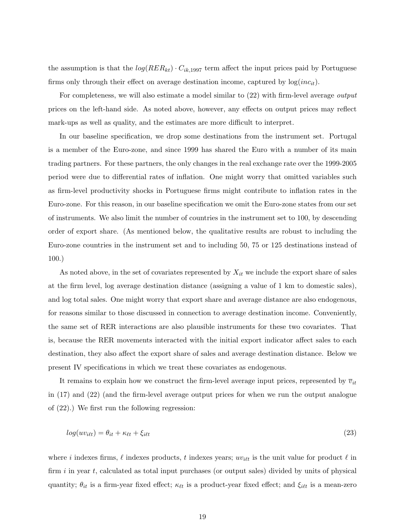the assumption is that the  $log(RER_{kt}) \cdot C_{ik,1997}$  term affect the input prices paid by Portuguese firms only through their effect on average destination income, captured by  $log(inc_{it})$ .

For completeness, we will also estimate a model similar to  $(22)$  with firm-level average *output* prices on the left-hand side. As noted above, however, any effects on output prices may reflect mark-ups as well as quality, and the estimates are more difficult to interpret.

In our baseline specification, we drop some destinations from the instrument set. Portugal is a member of the Euro-zone, and since 1999 has shared the Euro with a number of its main trading partners. For these partners, the only changes in the real exchange rate over the 1999-2005 period were due to differential rates of inflation. One might worry that omitted variables such as firm-level productivity shocks in Portuguese firms might contribute to inflation rates in the Euro-zone. For this reason, in our baseline specification we omit the Euro-zone states from our set of instruments. We also limit the number of countries in the instrument set to 100, by descending order of export share. (As mentioned below, the qualitative results are robust to including the Euro-zone countries in the instrument set and to including 50, 75 or 125 destinations instead of 100.)

As noted above, in the set of covariates represented by  $X_{it}$  we include the export share of sales at the firm level, log average destination distance (assigning a value of 1 km to domestic sales), and log total sales. One might worry that export share and average distance are also endogenous, for reasons similar to those discussed in connection to average destination income. Conveniently, the same set of RER interactions are also plausible instruments for these two covariates. That is, because the RER movements interacted with the initial export indicator affect sales to each destination, they also affect the export share of sales and average destination distance. Below we present IV specifications in which we treat these covariates as endogenous.

It remains to explain how we construct the firm-level average input prices, represented by  $\bar{v}_{it}$ in [\(17\)](#page-15-1) and [\(22\)](#page-18-2) (and the firm-level average output prices for when we run the output analogue of [\(22\)](#page-18-2).) We first run the following regression:

<span id="page-19-0"></span>
$$
log(w_{i\ell t}) = \theta_{it} + \kappa_{\ell t} + \xi_{i\ell t} \tag{23}
$$

where i indexes firms,  $\ell$  indexes products, t indexes years;  $uv_{i\ell t}$  is the unit value for product  $\ell$  in firm  $i$  in year  $t$ , calculated as total input purchases (or output sales) divided by units of physical quantity;  $\theta_{it}$  is a firm-year fixed effect;  $\kappa_{\ell t}$  is a product-year fixed effect; and  $\xi_{i\ell t}$  is a mean-zero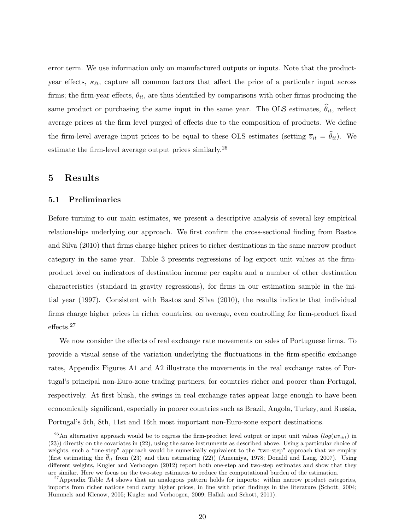error term. We use information only on manufactured outputs or inputs. Note that the productyear effects,  $\kappa_{\ell t}$ , capture all common factors that affect the price of a particular input across firms; the firm-year effects,  $\theta_{it}$ , are thus identified by comparisons with other firms producing the same product or purchasing the same input in the same year. The OLS estimates,  $\hat{\theta}_{it}$ , reflect average prices at the firm level purged of effects due to the composition of products. We define the firm-level average input prices to be equal to these OLS estimates (setting  $\overline{v}_{it} = \hat{\theta}_{it}$ ). We estimate the firm-level average output prices similarly.[26](#page-20-0)

# 5 Results

#### <span id="page-20-2"></span>5.1 Preliminaries

Before turning to our main estimates, we present a descriptive analysis of several key empirical relationships underlying our approach. We first confirm the cross-sectional finding from [Bastos](#page-29-5) [and Silva](#page-29-5) [\(2010\)](#page-29-5) that firms charge higher prices to richer destinations in the same narrow product category in the same year. Table [3](#page-35-0) presents regressions of log export unit values at the firmproduct level on indicators of destination income per capita and a number of other destination characteristics (standard in gravity regressions), for firms in our estimation sample in the initial year (1997). Consistent with [Bastos and Silva](#page-29-5) [\(2010\)](#page-29-5), the results indicate that individual firms charge higher prices in richer countries, on average, even controlling for firm-product fixed effects.[27](#page-20-1)

We now consider the effects of real exchange rate movements on sales of Portuguese firms. To provide a visual sense of the variation underlying the fluctuations in the firm-specific exchange rates, Appendix Figures [A1](#page-0-0) and [A2](#page-0-0) illustrate the movements in the real exchange rates of Portugal's principal non-Euro-zone trading partners, for countries richer and poorer than Portugal, respectively. At first blush, the swings in real exchange rates appear large enough to have been economically significant, especially in poorer countries such as Brazil, Angola, Turkey, and Russia, Portugal's 5th, 8th, 11st and 16th most important non-Euro-zone export destinations.

<span id="page-20-0"></span><sup>&</sup>lt;sup>26</sup>An alternative approach would be to regress the firm-product level output or input unit values ( $log(w_{ikt})$ ) in [\(23\)](#page-19-0)) directly on the covariates in [\(22\)](#page-18-2), using the same instruments as described above. Using a particular choice of weights, such a "one-step" approach would be numerically equivalent to the "two-step" approach that we employ (first estimating the  $\hat{\theta}_{it}$  from [\(23\)](#page-19-0) and then estimating [\(22\)](#page-18-2)) [\(Amemiya,](#page-29-16) [1978;](#page-29-16) [Donald and Lang,](#page-30-23) [2007\)](#page-30-23). Using different weights, [Kugler and Verhoogen](#page-31-9) [\(2012\)](#page-31-9) report both one-step and two-step estimates and show that they are similar. Here we focus on the two-step estimates to reduce the computational burden of the estimation.

<span id="page-20-1"></span> $27$ Appendix Table [A4](#page-36-0) shows that an analogous pattern holds for imports: within narrow product categories, imports from richer nations tend carry higher prices, in line with prior findings in the literature [\(Schott,](#page-31-12) [2004;](#page-31-12) [Hummels and Klenow,](#page-31-13) [2005;](#page-31-13) [Kugler and Verhoogen,](#page-31-24) [2009;](#page-31-24) [Hallak and Schott,](#page-30-14) [2011\)](#page-30-14).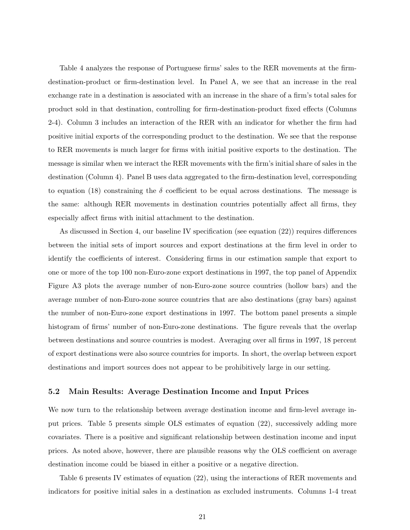Table [4](#page-36-0) analyzes the response of Portuguese firms' sales to the RER movements at the firmdestination-product or firm-destination level. In Panel A, we see that an increase in the real exchange rate in a destination is associated with an increase in the share of a firm's total sales for product sold in that destination, controlling for firm-destination-product fixed effects (Columns 2-4). Column 3 includes an interaction of the RER with an indicator for whether the firm had positive initial exports of the corresponding product to the destination. We see that the response to RER movements is much larger for firms with initial positive exports to the destination. The message is similar when we interact the RER movements with the firm's initial share of sales in the destination (Column 4). Panel B uses data aggregated to the firm-destination level, corresponding to equation [\(18\)](#page-17-1) constraining the  $\delta$  coefficient to be equal across destinations. The message is the same: although RER movements in destination countries potentially affect all firms, they especially affect firms with initial attachment to the destination.

As discussed in Section [4,](#page-15-2) our baseline IV specification (see equation [\(22\)](#page-18-2)) requires differences between the initial sets of import sources and export destinations at the firm level in order to identify the coefficients of interest. Considering firms in our estimation sample that export to one or more of the top 100 non-Euro-zone export destinations in 1997, the top panel of Appendix Figure [A3](#page-0-0) plots the average number of non-Euro-zone source countries (hollow bars) and the average number of non-Euro-zone source countries that are also destinations (gray bars) against the number of non-Euro-zone export destinations in 1997. The bottom panel presents a simple histogram of firms' number of non-Euro-zone destinations. The figure reveals that the overlap between destinations and source countries is modest. Averaging over all firms in 1997, 18 percent of export destinations were also source countries for imports. In short, the overlap between export destinations and import sources does not appear to be prohibitively large in our setting.

### 5.2 Main Results: Average Destination Income and Input Prices

We now turn to the relationship between average destination income and firm-level average input prices. Table [5](#page-37-0) presents simple OLS estimates of equation [\(22\)](#page-18-2), successively adding more covariates. There is a positive and significant relationship between destination income and input prices. As noted above, however, there are plausible reasons why the OLS coefficient on average destination income could be biased in either a positive or a negative direction.

Table [6](#page-38-0) presents IV estimates of equation [\(22\)](#page-18-2), using the interactions of RER movements and indicators for positive initial sales in a destination as excluded instruments. Columns 1-4 treat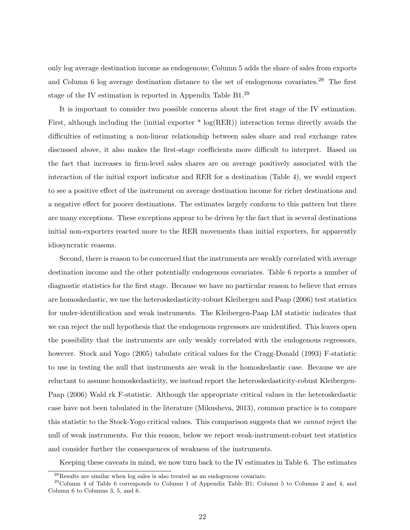only log average destination income as endogenous; Column 5 adds the share of sales from exports and Column 6 log average destination distance to the set of endogenous covariates.<sup>[28](#page-22-0)</sup> The first stage of the IV estimation is reported in Appendix Table [B1.](#page-33-0)<sup>[29](#page-22-1)</sup>

It is important to consider two possible concerns about the first stage of the IV estimation. First, although including the (initial exporter  $*$  log(RER)) interaction terms directly avoids the difficulties of estimating a non-linear relationship between sales share and real exchange rates discussed above, it also makes the first-stage coefficients more difficult to interpret. Based on the fact that increases in firm-level sales shares are on average positively associated with the interaction of the initial export indicator and RER for a destination (Table [4\)](#page-36-0), we would expect to see a positive effect of the instrument on average destination income for richer destinations and a negative effect for poorer destinations. The estimates largely conform to this pattern but there are many exceptions. These exceptions appear to be driven by the fact that in several destinations initial non-exporters reacted more to the RER movements than initial exporters, for apparently idiosyncratic reasons.

Second, there is reason to be concerned that the instruments are weakly correlated with average destination income and the other potentially endogenous covariates. Table [6](#page-38-0) reports a number of diagnostic statistics for the first stage. Because we have no particular reason to believe that errors are homoskedastic, we use the heteroskedasticity-robust [Kleibergen and Paap](#page-31-25) [\(2006\)](#page-31-25) test statistics for under-identification and weak instruments. The Kleibergen-Paap LM statistic indicates that we can reject the null hypothesis that the endogenous regressors are unidentified. This leaves open the possibility that the instruments are only weakly correlated with the endogenous regressors, however. [Stock and Yogo](#page-32-5) [\(2005\)](#page-32-5) tabulate critical values for the Cragg-Donald [\(1993\)](#page-30-24) F-statistic to use in testing the null that instruments are weak in the homoskedastic case. Because we are reluctant to assume homoskedasticity, we instead report the heteroskedasticity-robust Kleibergen-Paap [\(2006\)](#page-31-25) Wald rk F-statistic. Although the appropriate critical values in the heteroskedastic case have not been tabulated in the literature [\(Mikusheva,](#page-31-26) [2013\)](#page-31-26), common practice is to compare this statistic to the Stock-Yogo critical values. This comparison suggests that we cannot reject the null of weak instruments. For this reason, below we report weak-instrument-robust test statistics and consider further the consequences of weakness of the instruments.

Keeping these caveats in mind, we now turn back to the IV estimates in Table [6.](#page-38-0) The estimates

<span id="page-22-1"></span><span id="page-22-0"></span><sup>28</sup>Results are similar when log sales is also treated as an endogenous covariate.

 $^{29}$ Column 4 of Table [6](#page-38-0) corresponds to Column 1 of Appendix Table [B1;](#page-33-0) Column 5 to Columns 2 and 4; and Column 6 to Columns 3, 5, and 6.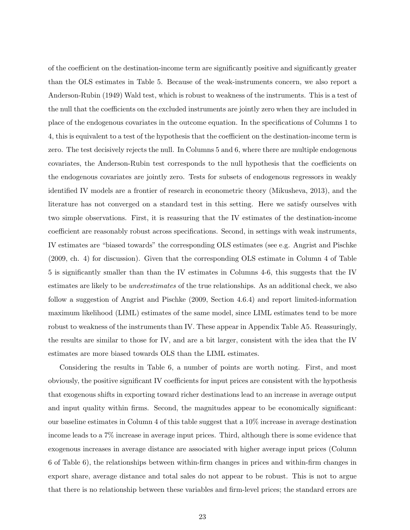of the coefficient on the destination-income term are significantly positive and significantly greater than the OLS estimates in Table [5.](#page-37-0) Because of the weak-instruments concern, we also report a Anderson-Rubin [\(1949\)](#page-29-17) Wald test, which is robust to weakness of the instruments. This is a test of the null that the coefficients on the excluded instruments are jointly zero when they are included in place of the endogenous covariates in the outcome equation. In the specifications of Columns 1 to 4, this is equivalent to a test of the hypothesis that the coefficient on the destination-income term is zero. The test decisively rejects the null. In Columns 5 and 6, where there are multiple endogenous covariates, the Anderson-Rubin test corresponds to the null hypothesis that the coefficients on the endogenous covariates are jointly zero. Tests for subsets of endogenous regressors in weakly identified IV models are a frontier of research in econometric theory [\(Mikusheva,](#page-31-26) [2013\)](#page-31-26), and the literature has not converged on a standard test in this setting. Here we satisfy ourselves with two simple observations. First, it is reassuring that the IV estimates of the destination-income coefficient are reasonably robust across specifications. Second, in settings with weak instruments, IV estimates are "biased towards" the corresponding OLS estimates (see e.g. [Angrist and Pischke](#page-29-18) [\(2009,](#page-29-18) ch. 4) for discussion). Given that the corresponding OLS estimate in Column 4 of Table [5](#page-37-0) is significantly smaller than than the IV estimates in Columns 4-6, this suggests that the IV estimates are likely to be *underestimates* of the true relationships. As an additional check, we also follow a suggestion of [Angrist and Pischke](#page-29-18) [\(2009,](#page-29-18) Section 4.6.4) and report limited-information maximum likelihood (LIML) estimates of the same model, since LIML estimates tend to be more robust to weakness of the instruments than IV. These appear in Appendix Table [A5.](#page-37-0) Reassuringly, the results are similar to those for IV, and are a bit larger, consistent with the idea that the IV estimates are more biased towards OLS than the LIML estimates.

Considering the results in Table [6,](#page-38-0) a number of points are worth noting. First, and most obviously, the positive significant IV coefficients for input prices are consistent with the hypothesis that exogenous shifts in exporting toward richer destinations lead to an increase in average output and input quality within firms. Second, the magnitudes appear to be economically significant: our baseline estimates in Column 4 of this table suggest that a 10% increase in average destination income leads to a 7% increase in average input prices. Third, although there is some evidence that exogenous increases in average distance are associated with higher average input prices (Column 6 of Table [6\)](#page-38-0), the relationships between within-firm changes in prices and within-firm changes in export share, average distance and total sales do not appear to be robust. This is not to argue that there is no relationship between these variables and firm-level prices; the standard errors are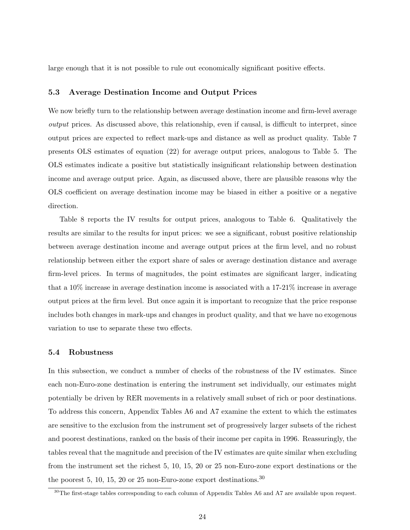large enough that it is not possible to rule out economically significant positive effects.

## 5.3 Average Destination Income and Output Prices

We now briefly turn to the relationship between average destination income and firm-level average output prices. As discussed above, this relationship, even if causal, is difficult to interpret, since output prices are expected to reflect mark-ups and distance as well as product quality. Table [7](#page-39-0) presents OLS estimates of equation [\(22\)](#page-18-2) for average output prices, analogous to Table [5.](#page-37-0) The OLS estimates indicate a positive but statistically insignificant relationship between destination income and average output price. Again, as discussed above, there are plausible reasons why the OLS coefficient on average destination income may be biased in either a positive or a negative direction.

Table [8](#page-40-0) reports the IV results for output prices, analogous to Table [6.](#page-38-0) Qualitatively the results are similar to the results for input prices: we see a significant, robust positive relationship between average destination income and average output prices at the firm level, and no robust relationship between either the export share of sales or average destination distance and average firm-level prices. In terms of magnitudes, the point estimates are significant larger, indicating that a 10% increase in average destination income is associated with a 17-21% increase in average output prices at the firm level. But once again it is important to recognize that the price response includes both changes in mark-ups and changes in product quality, and that we have no exogenous variation to use to separate these two effects.

#### 5.4 Robustness

In this subsection, we conduct a number of checks of the robustness of the IV estimates. Since each non-Euro-zone destination is entering the instrument set individually, our estimates might potentially be driven by RER movements in a relatively small subset of rich or poor destinations. To address this concern, Appendix Tables [A6](#page-38-0) and [A7](#page-39-0) examine the extent to which the estimates are sensitive to the exclusion from the instrument set of progressively larger subsets of the richest and poorest destinations, ranked on the basis of their income per capita in 1996. Reassuringly, the tables reveal that the magnitude and precision of the IV estimates are quite similar when excluding from the instrument set the richest 5, 10, 15, 20 or 25 non-Euro-zone export destinations or the the poorest 5, 10, 15, 20 or 25 non-Euro-zone export destinations.<sup>[30](#page-24-0)</sup>

<span id="page-24-0"></span><sup>&</sup>lt;sup>30</sup>The first-stage tables corresponding to each column of Appendix Tables [A6](#page-38-0) and [A7](#page-39-0) are available upon request.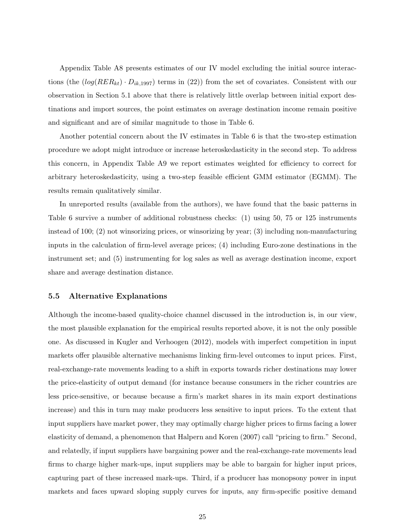Appendix Table [A8](#page-40-0) presents estimates of our IV model excluding the initial source interactions (the  $(log(RER_{kt}) \cdot D_{ik,1997})$  terms in [\(22\)](#page-18-2)) from the set of covariates. Consistent with our observation in Section [5.1](#page-20-2) above that there is relatively little overlap between initial export destinations and import sources, the point estimates on average destination income remain positive and significant and are of similar magnitude to those in Table [6.](#page-38-0)

Another potential concern about the IV estimates in Table [6](#page-38-0) is that the two-step estimation procedure we adopt might introduce or increase heteroskedasticity in the second step. To address this concern, in Appendix Table [A9](#page-41-0) we report estimates weighted for efficiency to correct for arbitrary heteroskedasticity, using a two-step feasible efficient GMM estimator (EGMM). The results remain qualitatively similar.

In unreported results (available from the authors), we have found that the basic patterns in Table [6](#page-38-0) survive a number of additional robustness checks: (1) using 50, 75 or 125 instruments instead of 100; (2) not winsorizing prices, or winsorizing by year; (3) including non-manufacturing inputs in the calculation of firm-level average prices; (4) including Euro-zone destinations in the instrument set; and (5) instrumenting for log sales as well as average destination income, export share and average destination distance.

#### <span id="page-25-0"></span>5.5 Alternative Explanations

Although the income-based quality-choice channel discussed in the introduction is, in our view, the most plausible explanation for the empirical results reported above, it is not the only possible one. As discussed in [Kugler and Verhoogen](#page-31-9) [\(2012\)](#page-31-9), models with imperfect competition in input markets offer plausible alternative mechanisms linking firm-level outcomes to input prices. First, real-exchange-rate movements leading to a shift in exports towards richer destinations may lower the price-elasticity of output demand (for instance because consumers in the richer countries are less price-sensitive, or because because a firm's market shares in its main export destinations increase) and this in turn may make producers less sensitive to input prices. To the extent that input suppliers have market power, they may optimally charge higher prices to firms facing a lower elasticity of demand, a phenomenon that [Halpern and Koren](#page-31-19) [\(2007\)](#page-31-19) call "pricing to firm." Second, and relatedly, if input suppliers have bargaining power and the real-exchange-rate movements lead firms to charge higher mark-ups, input suppliers may be able to bargain for higher input prices, capturing part of these increased mark-ups. Third, if a producer has monopsony power in input markets and faces upward sloping supply curves for inputs, any firm-specific positive demand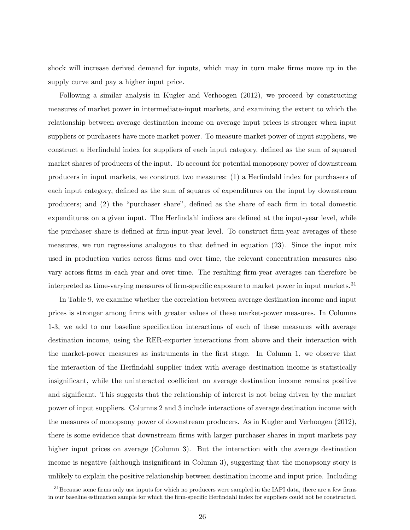shock will increase derived demand for inputs, which may in turn make firms move up in the supply curve and pay a higher input price.

Following a similar analysis in [Kugler and Verhoogen](#page-31-9) [\(2012\)](#page-31-9), we proceed by constructing measures of market power in intermediate-input markets, and examining the extent to which the relationship between average destination income on average input prices is stronger when input suppliers or purchasers have more market power. To measure market power of input suppliers, we construct a Herfindahl index for suppliers of each input category, defined as the sum of squared market shares of producers of the input. To account for potential monopsony power of downstream producers in input markets, we construct two measures: (1) a Herfindahl index for purchasers of each input category, defined as the sum of squares of expenditures on the input by downstream producers; and (2) the "purchaser share", defined as the share of each firm in total domestic expenditures on a given input. The Herfindahl indices are defined at the input-year level, while the purchaser share is defined at firm-input-year level. To construct firm-year averages of these measures, we run regressions analogous to that defined in equation [\(23\)](#page-19-0). Since the input mix used in production varies across firms and over time, the relevant concentration measures also vary across firms in each year and over time. The resulting firm-year averages can therefore be interpreted as time-varying measures of firm-specific exposure to market power in input markets.[31](#page-26-0)

In Table [9,](#page-41-0) we examine whether the correlation between average destination income and input prices is stronger among firms with greater values of these market-power measures. In Columns 1-3, we add to our baseline specification interactions of each of these measures with average destination income, using the RER-exporter interactions from above and their interaction with the market-power measures as instruments in the first stage. In Column 1, we observe that the interaction of the Herfindahl supplier index with average destination income is statistically insignificant, while the uninteracted coefficient on average destination income remains positive and significant. This suggests that the relationship of interest is not being driven by the market power of input suppliers. Columns 2 and 3 include interactions of average destination income with the measures of monopsony power of downstream producers. As in [Kugler and Verhoogen](#page-31-9) [\(2012\)](#page-31-9), there is some evidence that downstream firms with larger purchaser shares in input markets pay higher input prices on average (Column 3). But the interaction with the average destination income is negative (although insignificant in Column 3), suggesting that the monopsony story is unlikely to explain the positive relationship between destination income and input price. Including

<span id="page-26-0"></span><sup>&</sup>lt;sup>31</sup>Because some firms only use inputs for which no producers were sampled in the IAPI data, there are a few firms in our baseline estimation sample for which the firm-specific Herfindahl index for suppliers could not be constructed.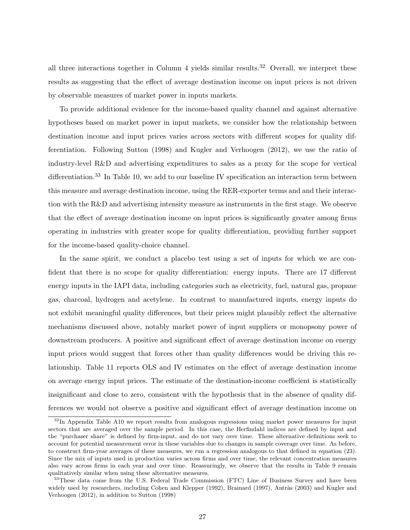all three interactions together in Column 4 yields similar results.<sup>[32](#page-27-0)</sup> Overall, we interpret these results as suggesting that the effect of average destination income on input prices is not driven by observable measures of market power in inputs markets.

To provide additional evidence for the income-based quality channel and against alternative hypotheses based on market power in input markets, we consider how the relationship between destination income and input prices varies across sectors with different scopes for quality differentiation. Following [Sutton](#page-32-6) [\(1998\)](#page-32-6) and [Kugler and Verhoogen](#page-31-9) [\(2012\)](#page-31-9), we use the ratio of industry-level R&D and advertising expenditures to sales as a proxy for the scope for vertical differentiation.<sup>[33](#page-27-1)</sup> In Table [10,](#page-42-0) we add to our baseline IV specification an interaction term between this measure and average destination income, using the RER-exporter terms and and their interaction with the R&D and advertising intensity measure as instruments in the first stage. We observe that the effect of average destination income on input prices is significantly greater among firms operating in industries with greater scope for quality differentiation, providing further support for the income-based quality-choice channel.

In the same spirit, we conduct a placebo test using a set of inputs for which we are confident that there is no scope for quality differentiation: energy inputs. There are 17 different energy inputs in the IAPI data, including categories such as electricity, fuel, natural gas, propane gas, charcoal, hydrogen and acetylene. In contrast to manufactured inputs, energy inputs do not exhibit meaningful quality differences, but their prices might plausibly reflect the alternative mechanisms discussed above, notably market power of input suppliers or monopsony power of downstream producers. A positive and significant effect of average destination income on energy input prices would suggest that forces other than quality differences would be driving this relationship. Table [11](#page-43-0) reports OLS and IV estimates on the effect of average destination income on average energy input prices. The estimate of the destination-income coefficient is statistically insignificant and close to zero, consistent with the hypothesis that in the absence of quality differences we would not observe a positive and significant effect of average destination income on

<span id="page-27-0"></span> $32$ In Appendix Table [A10](#page-42-0) we report results from analogous regressions using market power measures for input sectors that are averaged over the sample period. In this case, the Herfindahl indices are defined by input and the "purchaser share" is defined by firm-input, and do not vary over time. These alternative definitions seek to account for potential measurement error in these variables due to changes in sample coverage over time. As before, to construct firm-year averages of these measures, we run a regression analogous to that defined in equation [\(23\)](#page-19-0). Since the mix of inputs used in production varies across firms and over time, the relevant concentration measures also vary across firms in each year and over time. Reassuringly, we observe that the results in Table [9](#page-41-0) remain qualitatively similar when using these alternative measures.

<span id="page-27-1"></span><sup>&</sup>lt;sup>33</sup>These data come from the U.S. Federal Trade Commission (FTC) Line of Business Survey and have been widely used by researchers, including [Cohen and Klepper](#page-30-25) [\(1992\)](#page-30-25), [Brainard](#page-29-19) [\(1997\)](#page-29-19), Antràs [\(2003\)](#page-29-20) and [Kugler and](#page-31-9) [Verhoogen](#page-31-9) [\(2012\)](#page-31-9), in addition to [Sutton](#page-32-6) [\(1998\)](#page-32-6)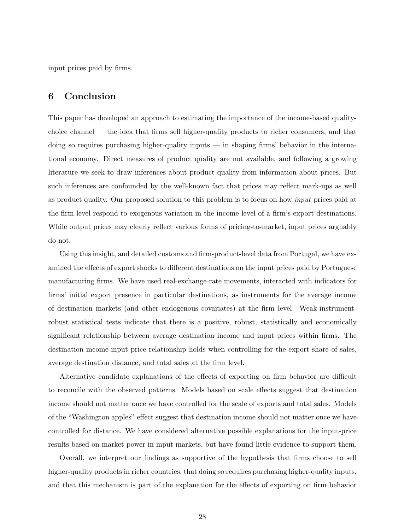input prices paid by firms.

# 6 Conclusion

This paper has developed an approach to estimating the importance of the income-based qualitychoice channel — the idea that firms sell higher-quality products to richer consumers, and that doing so requires purchasing higher-quality inputs — in shaping firms' behavior in the international economy. Direct measures of product quality are not available, and following a growing literature we seek to draw inferences about product quality from information about prices. But such inferences are confounded by the well-known fact that prices may reflect mark-ups as well as product quality. Our proposed solution to this problem is to focus on how input prices paid at the firm level respond to exogenous variation in the income level of a firm's export destinations. While output prices may clearly reflect various forms of pricing-to-market, input prices arguably do not.

Using this insight, and detailed customs and firm-product-level data from Portugal, we have examined the effects of export shocks to different destinations on the input prices paid by Portuguese manufacturing firms. We have used real-exchange-rate movements, interacted with indicators for firms' initial export presence in particular destinations, as instruments for the average income of destination markets (and other endogenous covariates) at the firm level. Weak-instrumentrobust statistical tests indicate that there is a positive, robust, statistically and economically significant relationship between average destination income and input prices within firms. The destination income-input price relationship holds when controlling for the export share of sales, average destination distance, and total sales at the firm level.

Alternative candidate explanations of the effects of exporting on firm behavior are difficult to reconcile with the observed patterns. Models based on scale effects suggest that destination income should not matter once we have controlled for the scale of exports and total sales. Models of the "Washington apples" effect suggest that destination income should not matter once we have controlled for distance. We have considered alternative possible explanations for the input-price results based on market power in input markets, but have found little evidence to support them.

Overall, we interpret our findings as supportive of the hypothesis that firms choose to sell higher-quality products in richer countries, that doing so requires purchasing higher-quality inputs, and that this mechanism is part of the explanation for the effects of exporting on firm behavior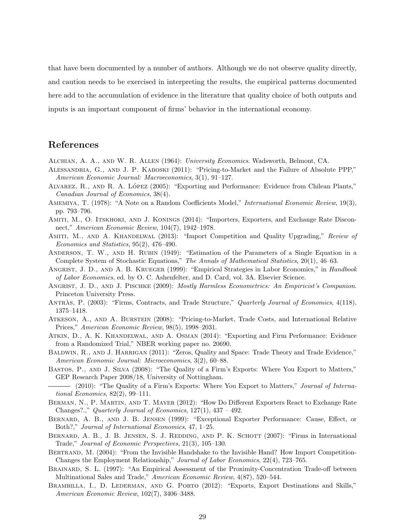that have been documented by a number of authors. Although we do not observe quality directly, and caution needs to be exercised in interpreting the results, the empirical patterns documented here add to the accumulation of evidence in the literature that quality choice of both outputs and inputs is an important component of firms' behavior in the international economy.

# References

- <span id="page-29-3"></span>Alchian, A. A., and W. R. Allen (1964): University Economics. Wadsworth, Belmont, CA.
- <span id="page-29-6"></span>Alessandria, G., and J. P. Kaboski (2011): "Pricing-to-Market and the Failure of Absolute PPP," American Economic Journal: Macroeconomics, 3(1), 91–127.
- <span id="page-29-1"></span>ALVAREZ, R., AND R. A. LÓPEZ (2005): "Exporting and Performance: Evidence from Chilean Plants," Canadian Journal of Economics, 38(4).
- <span id="page-29-16"></span>AMEMIYA, T. (1978): "A Note on a Random Coefficients Model," *International Economic Review*, 19(3), pp. 793–796.
- <span id="page-29-8"></span>AMITI, M., O. ITSKHOKI, AND J. KONINGS (2014): "Importers, Exporters, and Exchange Rate Disconnect," American Economic Review, 104(7), 1942–1978.
- <span id="page-29-12"></span>AMITI, M., AND A. KHANDELWAL (2013): "Import Competition and Quality Upgrading," Review of Economics and Statistics, 95(2), 476–490.
- <span id="page-29-17"></span>Anderson, T. W., and H. Rubin (1949): "Estimation of the Parameters of a Single Equation in a Complete System of Stochastic Equations," The Annals of Mathematical Statistics, 20(1), 46–63.
- <span id="page-29-14"></span>ANGRIST, J. D., AND A. B. KRUEGER (1999): "Empirical Strategies in Labor Economics," in Handbook of Labor Economics, ed. by O. C. Ashenfelter, and D. Card, vol. 3A. Elsevier Science.
- <span id="page-29-18"></span>ANGRIST, J. D., AND J. PISCHKE (2009): Mostly Harmless Econometrics: An Empiricist's Companion. Princeton University Press.
- <span id="page-29-20"></span>ANTRAS, P. (2003): "Firms, Contracts, and Trade Structure," Quarterly Journal of Economics, 4(118), 1375–1418.
- <span id="page-29-7"></span>Atkeson, A., and A. Burstein (2008): "Pricing-to-Market, Trade Costs, and International Relative Prices," American Economic Review, 98(5), 1998–2031.
- <span id="page-29-2"></span>Atkin, D., A. K. Khandelwal, and A. Osman (2014): "Exporting and Firm Performance: Evidence from a Randomized Trial," NBER working paper no. 20690.
- <span id="page-29-11"></span>BALDWIN, R., AND J. HARRIGAN (2011): "Zeros, Quality and Space: Trade Theory and Trade Evidence," American Economic Journal: Microeconomics, 3(2), 60–88.
- <span id="page-29-4"></span>Bastos, P., and J. Silva (2008): "The Quality of a Firm's Exports: Where You Export to Matters," GEP Research Paper 2008/18, University of Nottingham.
- <span id="page-29-5"></span>(2010): "The Quality of a Firm's Exports: Where You Export to Matters," Journal of International Economics, 82(2), 99–111.
- <span id="page-29-9"></span>Berman, N., P. Martin, and T. Mayer (2012): "How Do Different Exporters React to Exchange Rate Changes?.," Quarterly Journal of Economics,  $127(1)$ ,  $437 - 492$ .
- <span id="page-29-0"></span>Bernard, A. B., and J. B. Jensen (1999): "Exceptional Exporter Performance: Cause, Effect, or Both?," Journal of International Economics, 47, 1–25.
- <span id="page-29-13"></span>BERNARD, A. B., J. B. JENSEN, S. J. REDDING, AND P. K. SCHOTT (2007): "Firms in International Trade," Journal of Economic Perspectives, 21(3), 105–130.
- <span id="page-29-15"></span>BERTRAND, M. (2004): "From the Invisible Handshake to the Invisible Hand? How Import Competition-Changes the Employment Relationship," Journal of Labor Economics, 22(4), 723–765.
- <span id="page-29-19"></span>BRAINARD, S. L. (1997): "An Empirical Assessment of the Proximity-Concentration Trade-off between Multinational Sales and Trade," American Economic Review, 4(87), 520–544.
- <span id="page-29-10"></span>BRAMBILLA, I., D. LEDERMAN, AND G. PORTO (2012): "Exports, Export Destinations and Skills," American Economic Review, 102(7), 3406–3488.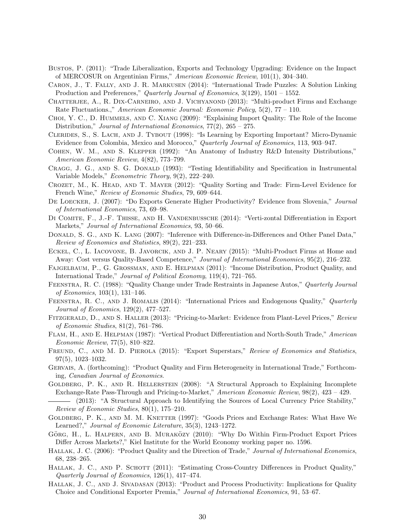- <span id="page-30-2"></span>Bustos, P. (2011): "Trade Liberalization, Exports and Technology Upgrading: Evidence on the Impact of MERCOSUR on Argentinian Firms," American Economic Review, 101(1), 304–340.
- <span id="page-30-19"></span>Caron, J., T. Fally, and J. R. Markusen (2014): "International Trade Puzzles: A Solution Linking Production and Preferences," Quarterly Journal of Economics, 3(129), 1501 – 1552.
- <span id="page-30-12"></span>CHATTERJEE, A., R. DIX-CARNEIRO, AND J. VICHYANOND (2013): "Multi-product Firms and Exchange Rate Fluctuations.," American Economic Journal: Economic Policy,  $5(2)$ ,  $77 - 110$ .
- <span id="page-30-13"></span>Choi, Y. C., D. Hummels, and C. Xiang (2009): "Explaining Import Quality: The Role of the Income Distribution," Journal of International Economics, 77(2), 265 – 275.
- <span id="page-30-0"></span>Clerides, S., S. Lach, and J. Tybout (1998): "Is Learning by Exporting Important? Micro-Dynamic Evidence from Colombia, Mexico and Morocco," Quarterly Journal of Economics, 113, 903–947.
- <span id="page-30-25"></span>Cohen, W. M., and S. Klepper (1992): "An Anatomy of Industry R&D Intensity Distributions," American Economic Review, 4(82), 773–799.
- <span id="page-30-24"></span>CRAGG, J. G., AND S. G. DONALD (1993): "Testing Identifiability and Specification in Instrumental Variable Models," Econometric Theory, 9(2), 222–240.
- <span id="page-30-17"></span>Crozet, M., K. Head, and T. Mayer (2012): "Quality Sorting and Trade: Firm-Level Evidence for French Wine," Review of Economic Studies, 79, 609–644.
- <span id="page-30-1"></span>DE LOECKER, J. (2007): "Do Exports Generate Higher Productivity? Evidence from Slovenia," Journal of International Economics, 73, 69–98.
- <span id="page-30-20"></span>DI COMITE, F., J.-F. THISSE, AND H. VANDENBUSSCHE (2014): "Verti-zontal Differentiation in Export Markets," Journal of International Economics, 93, 50–66.
- <span id="page-30-23"></span>DONALD, S. G., AND K. LANG (2007): "Inference with Difference-in-Differences and Other Panel Data," Review of Economics and Statistics, 89(2), 221–233.
- <span id="page-30-16"></span>Eckel, C., L. Iacovone, B. Javorcik, and J. P. Neary (2015): "Multi-Product Firms at Home and Away: Cost versus Quality-Based Competence," Journal of International Economics, 95(2), 216–232.
- <span id="page-30-15"></span>Fajgelbaum, P., G. Grossman, and E. Helpman (2011): "Income Distribution, Product Quality, and International Trade," Journal of Political Economy, 119(4), 721–765.
- <span id="page-30-3"></span>Feenstra, R. C. (1988): "Quality Change under Trade Restraints in Japanese Autos," Quarterly Journal of Economics, 103(1), 131–146.
- <span id="page-30-4"></span>FEENSTRA, R. C., AND J. ROMALIS (2014): "International Prices and Endogenous Quality," Quarterly Journal of Economics, 129(2), 477–527.
- <span id="page-30-10"></span>Fitzgerald, D., and S. Haller (2013): "Pricing-to-Market: Evidence from Plant-Level Prices," Review of Economic Studies, 81(2), 761–786.
- <span id="page-30-5"></span>Flam, H., and E. Helpman (1987): "Vertical Product Differentiation and North-South Trade," American Economic Review, 77(5), 810–822.
- <span id="page-30-22"></span>FREUND, C., AND M. D. PIEROLA (2015): "Export Superstars," Review of Economics and Statistics, 97(5), 1023–1032.
- <span id="page-30-21"></span>Gervais, A. (forthcoming): "Product Quality and Firm Heterogeneity in International Trade," Forthcoming, Canadian Journal of Economics.
- <span id="page-30-9"></span>GOLDBERG, P. K., AND R. HELLERSTEIN (2008): "A Structural Approach to Explaining Incomplete Exchange-Rate Pass-Through and Pricing-to-Market," American Economic Review, 98(2), 423 – 429.

<span id="page-30-11"></span>(2013): "A Structural Approach to Identifying the Sources of Local Currency Price Stability," Review of Economic Studies, 80(1), 175–210.

- <span id="page-30-8"></span>GOLDBERG, P. K., AND M. M. KNETTER (1997): "Goods Prices and Exchange Rates: What Have We Learned?," Journal of Economic Literature, 35(3), 1243–1272.
- <span id="page-30-7"></span>GÖRG, H., L. HALPERN, AND B. MURAKÖZY (2010): "Why Do Within Firm-Product Export Prices Differ Across Markets?," Kiel Institute for the World Economy working paper no. 1596.
- <span id="page-30-6"></span>HALLAK, J. C. (2006): "Product Quality and the Direction of Trade," Journal of International Economics, 68, 238–265.
- <span id="page-30-14"></span>HALLAK, J. C., AND P. SCHOTT (2011): "Estimating Cross-Country Differences in Product Quality," Quarterly Journal of Economics, 126(1), 417–474.
- <span id="page-30-18"></span>HALLAK, J. C., AND J. SIVADASAN (2013): "Product and Process Productivity: Implications for Quality Choice and Conditional Exporter Premia," Journal of International Economics, 91, 53–67.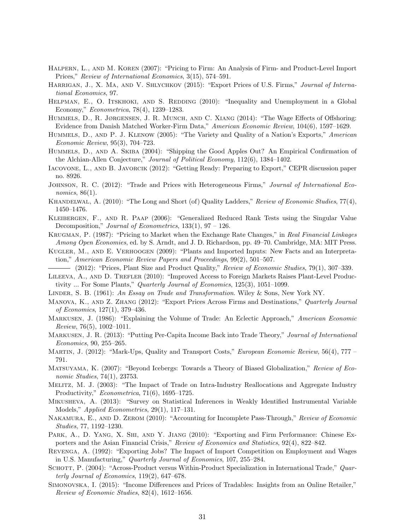- <span id="page-31-19"></span>Halpern, L., and M. Koren (2007): "Pricing to Firm: An Analysis of Firm- and Product-Level Import Prices," Review of International Economics, 3(15), 574–591.
- <span id="page-31-17"></span>HARRIGAN, J., X. MA, AND V. SHLYCHKOV (2015): "Export Prices of U.S. Firms," Journal of International Economics, 97.
- <span id="page-31-1"></span>HELPMAN, E., O. ITSKHOKI, AND S. REDDING (2010): "Inequality and Unemployment in a Global Economy," Econometrica, 78(4), 1239–1283.
- <span id="page-31-23"></span>HUMMELS, D., R. JØRGENSEN, J. R. MUNCH, AND C. XIANG (2014): "The Wage Effects of Offshoring: Evidence from Danish Matched Worker-Firm Data," American Economic Review, 104(6), 1597–1629.
- <span id="page-31-13"></span>Hummels, D., and P. J. Klenow (2005): "The Variety and Quality of a Nation's Exports," American Economic Review, 95(3), 704–723.
- <span id="page-31-2"></span>Hummels, D., and A. Skiba (2004): "Shipping the Good Apples Out? An Empirical Confirmation of the Alchian-Allen Conjecture," Journal of Political Economy, 112(6), 1384–1402.
- <span id="page-31-16"></span>Iacovone, L., and B. Javorcik (2012): "Getting Ready: Preparing to Export," CEPR discussion paper no. 8926.
- <span id="page-31-14"></span>JOHNSON, R. C. (2012): "Trade and Prices with Heterogeneous Firms," Journal of International Economics, 86(1).
- <span id="page-31-20"></span>KHANDELWAL, A. (2010): "The Long and Short (of) Quality Ladders," Review of Economic Studies, 77(4), 1450–1476.
- <span id="page-31-25"></span>Kleibergen, F., and R. Paap (2006): "Generalized Reduced Rank Tests using the Singular Value Decomposition," Journal of Econometrics, 133(1), 97 – 126.
- <span id="page-31-7"></span>Krugman, P. (1987): "Pricing to Market when the Exchange Rate Changes," in Real Financial Linkages Among Open Economies, ed. by S. Arndt, and J. D. Richardson, pp. 49–70. Cambridge, MA: MIT Press.
- <span id="page-31-24"></span>Kugler, M., and E. Verhoogen (2009): "Plants and Imported Inputs: New Facts and an Interpretation," American Economic Review Papers and Proceedings, 99(2), 501–507.

<span id="page-31-9"></span> $-$  (2012): "Prices, Plant Size and Product Quality," Review of Economic Studies, 79(1), 307–339.

- <span id="page-31-0"></span>Lileeva, A., and D. Trefler (2010): "Improved Access to Foreign Markets Raises Plant-Level Productivity ... For Some Plants," Quarterly Journal of Economics, 125(3), 1051–1099.
- <span id="page-31-3"></span>LINDER, S. B. (1961): An Essay on Trade and Transformation. Wiley & Sons, New York NY.
- <span id="page-31-5"></span>MANOVA, K., AND Z. ZHANG (2012): "Export Prices Across Firms and Destinations," Quarterly Journal of Economics, 127(1), 379–436.
- <span id="page-31-4"></span>Markusen, J. (1986): "Explaining the Volume of Trade: An Eclectic Approach," American Economic Review, 76(5),  $1002-1011$ .
- <span id="page-31-15"></span>MARKUSEN, J. R. (2013): "Putting Per-Capita Income Back into Trade Theory," Journal of International Economics, 90, 255–265.
- <span id="page-31-6"></span>Martin, J. (2012): "Mark-Ups, Quality and Transport Costs," European Economic Review, 56(4), 777 – 791.
- <span id="page-31-10"></span>Matsuyama, K. (2007): "Beyond Icebergs: Towards a Theory of Biased Globalization," Review of Economic Studies, 74(1), 23753.
- <span id="page-31-18"></span>Melitz, M. J. (2003): "The Impact of Trade on Intra-Industry Reallocations and Aggregate Industry Productivity," Econometrica, 71(6), 1695–1725.
- <span id="page-31-26"></span>Mikusheva, A. (2013): "Survey on Statistical Inferences in Weakly Identified Instrumental Variable Models," Applied Econometrics, 29(1), 117–131.
- <span id="page-31-11"></span>NAKAMURA, E., AND D. ZEROM (2010): "Accounting for Incomplete Pass-Through," Review of Economic Studies, 77, 1192–1230.
- <span id="page-31-22"></span>PARK, A., D. YANG, X. SHI, AND Y. JIANG (2010): "Exporting and Firm Performance: Chinese Exporters and the Asian Financial Crisis," Review of Economics and Statistics, 92(4), 822–842.
- <span id="page-31-21"></span>Revenga, A. (1992): "Exporting Jobs? The Impact of Import Competition on Employment and Wages in U.S. Manufacturing," Quarterly Journal of Economics, 107, 255–284.
- <span id="page-31-12"></span>SCHOTT, P. (2004): "Across-Product versus Within-Product Specialization in International Trade," Quarterly Journal of Economics, 119(2), 647–678.
- <span id="page-31-8"></span>Simonovska, I. (2015): "Income Differences and Prices of Tradables: Insights from an Online Retailer," Review of Economic Studies, 82(4), 1612–1656.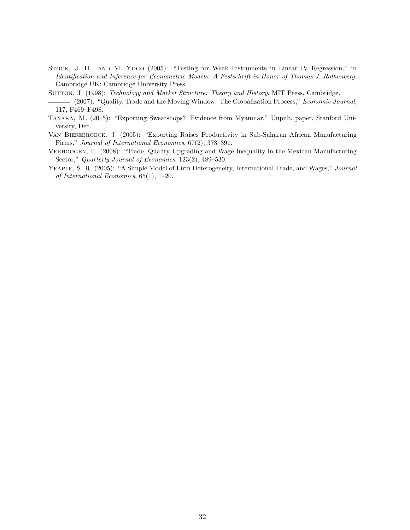- <span id="page-32-5"></span>Stock, J. H., and M. Yogo (2005): "Testing for Weak Instruments in Linear IV Regression," in Identification and Inference for Econometric Models: A Festschrift in Honor of Thomas J. Rothenberg. Cambridge UK: Cambridge University Press.
- <span id="page-32-6"></span><span id="page-32-4"></span>SUTTON, J. (1998): Technology and Market Structure: Theory and History. MIT Press, Cambridge.

- <span id="page-32-2"></span>Tanaka, M. (2015): "Exporting Sweatshops? Evidence from Myanmar," Unpub. paper, Stanford University, Dec.
- <span id="page-32-0"></span>VAN BIESEBROECK, J. (2005): "Exporting Raises Productivity in Sub-Saharan African Manufacturing Firms," Journal of International Economics, 67(2), 373–391.
- <span id="page-32-1"></span>Verhoogen, E. (2008): "Trade, Quality Upgrading and Wage Inequality in the Mexican Manufacturing Sector," Quarterly Journal of Economics, 123(2), 489–530.
- <span id="page-32-3"></span>YEAPLE, S. R. (2005): "A Simple Model of Firm Heterogeneity, International Trade, and Wages," Journal of International Economics, 65(1), 1–20.

<sup>(2007): &</sup>quot;Quality, Trade and the Moving Window: The Globalization Process," Economic Journal, 117, F469–F498.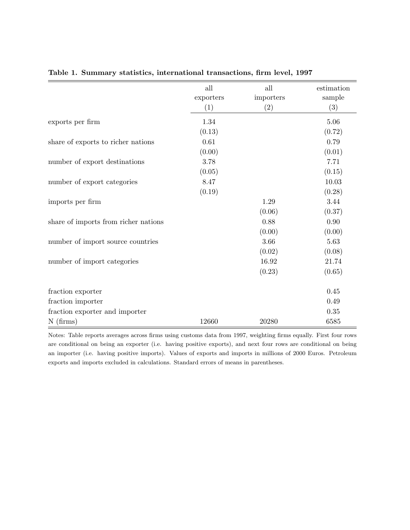<span id="page-33-1"></span>

|                                      | all       | all       | estimation |
|--------------------------------------|-----------|-----------|------------|
|                                      | exporters | importers | sample     |
|                                      | (1)       | (2)       | (3)        |
| exports per firm                     | 1.34      |           | 5.06       |
|                                      | (0.13)    |           | (0.72)     |
| share of exports to richer nations   | 0.61      |           | 0.79       |
|                                      | (0.00)    |           | (0.01)     |
| number of export destinations        | 3.78      |           | 7.71       |
|                                      | (0.05)    |           | (0.15)     |
| number of export categories          | 8.47      |           | 10.03      |
|                                      | (0.19)    |           | (0.28)     |
| imports per firm                     |           | 1.29      | 3.44       |
|                                      |           | (0.06)    | (0.37)     |
| share of imports from richer nations |           | 0.88      | 0.90       |
|                                      |           | (0.00)    | (0.00)     |
| number of import source countries    |           | 3.66      | 5.63       |
|                                      |           | (0.02)    | (0.08)     |
| number of import categories          |           | 16.92     | 21.74      |
|                                      |           | (0.23)    | (0.65)     |
| fraction exporter                    |           |           | 0.45       |
| fraction importer                    |           |           | 0.49       |
| fraction exporter and importer       |           |           | 0.35       |
| $N$ (firms)                          | 12660     | 20280     | 6585       |

## <span id="page-33-0"></span>Table 1. Summary statistics, international transactions, firm level, 1997

Notes: Table reports averages across firms using customs data from 1997, weighting firms equally. First four rows are conditional on being an exporter (i.e. having positive exports), and next four rows are conditional on being an importer (i.e. having positive imports). Values of exports and imports in millions of 2000 Euros. Petroleum exports and imports excluded in calculations. Standard errors of means in parentheses.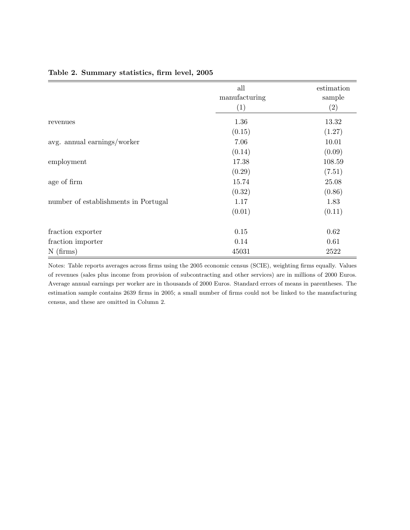|                                      | all<br>manufacturing<br>(1) | estimation<br>sample<br>(2) |
|--------------------------------------|-----------------------------|-----------------------------|
| revenues                             | 1.36                        | 13.32                       |
|                                      | (0.15)                      | (1.27)                      |
| avg. annual earnings/worker          | 7.06                        | 10.01                       |
|                                      | (0.14)                      | (0.09)                      |
| employment                           | 17.38                       | 108.59                      |
|                                      | (0.29)                      | (7.51)                      |
| age of firm                          | 15.74                       | 25.08                       |
|                                      | (0.32)                      | (0.86)                      |
| number of establishments in Portugal | 1.17                        | 1.83                        |
|                                      | (0.01)                      | (0.11)                      |
| fraction exporter                    | 0.15                        | 0.62                        |
| fraction importer                    | 0.14                        | 0.61                        |
| $N$ (firms)                          | 45031                       | 2522                        |

### <span id="page-34-0"></span>Table 2. Summary statistics, firm level, 2005

Notes: Table reports averages across firms using the 2005 economic census (SCIE), weighting firms equally. Values of revenues (sales plus income from provision of subcontracting and other services) are in millions of 2000 Euros. Average annual earnings per worker are in thousands of 2000 Euros. Standard errors of means in parentheses. The estimation sample contains 2639 firms in 2005; a small number of firms could not be linked to the manufacturing census, and these are omitted in Column 2.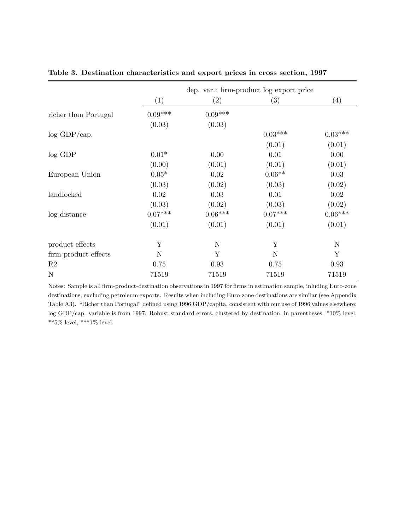|                      | dep. var.: firm-product log export price |           |           |             |  |  |
|----------------------|------------------------------------------|-----------|-----------|-------------|--|--|
|                      | (1)                                      | (2)       | (3)       | (4)         |  |  |
| richer than Portugal | $0.09***$                                | $0.09***$ |           |             |  |  |
|                      | (0.03)                                   | (0.03)    |           |             |  |  |
| $log$ GDP/cap.       |                                          |           | $0.03***$ | $0.03***$   |  |  |
|                      |                                          |           | (0.01)    | (0.01)      |  |  |
| $log$ GDP            | $0.01*$                                  | 0.00      | 0.01      | 0.00        |  |  |
|                      | (0.00)                                   | (0.01)    | (0.01)    | (0.01)      |  |  |
| European Union       | $0.05*$                                  | 0.02      | $0.06**$  | 0.03        |  |  |
|                      | (0.03)                                   | (0.02)    | (0.03)    | (0.02)      |  |  |
| landlocked           | 0.02                                     | 0.03      | 0.01      | 0.02        |  |  |
|                      | (0.03)                                   | (0.02)    | (0.03)    | (0.02)      |  |  |
| log distance         | $0.07***$                                | $0.06***$ | $0.07***$ | $0.06***$   |  |  |
|                      | (0.01)                                   | (0.01)    | (0.01)    | (0.01)      |  |  |
| product effects      | Y                                        | N         | Y         | $\mathbf N$ |  |  |
| firm-product effects | $\mathbf N$                              | Y         | N         | Y           |  |  |
| R <sub>2</sub>       | 0.75                                     | 0.93      | 0.75      | 0.93        |  |  |
| $\mathbf N$          | 71519                                    | 71519     | 71519     | 71519       |  |  |

<span id="page-35-0"></span>Table 3. Destination characteristics and export prices in cross section, 1997

Notes: Sample is all firm-product-destination observations in 1997 for firms in estimation sample, inluding Euro-zone destinations, excluding petroleum exports. Results when including Euro-zone destinations are similar (see Appendix Table [A3\)](#page-35-0). "Richer than Portugal" defined using 1996 GDP/capita, consistent with our use of 1996 values elsewhere; log GDP/cap. variable is from 1997. Robust standard errors, clustered by destination, in parentheses. \*10% level, \*\*5% level, \*\*\*1% level.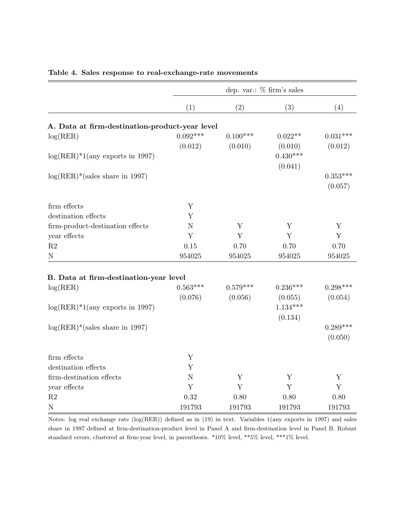|                                                |             | dep. var.: $%$ firm's sales |                       |             |  |  |
|------------------------------------------------|-------------|-----------------------------|-----------------------|-------------|--|--|
|                                                | (1)         | (2)                         | (3)                   | (4)         |  |  |
| A. Data at firm-destination-product-year level |             |                             |                       |             |  |  |
|                                                | $0.092***$  | $0.100***$                  | $0.022**$             | $0.031***$  |  |  |
| log(RER)                                       | (0.012)     | (0.010)                     |                       |             |  |  |
|                                                |             |                             | (0.010)<br>$0.430***$ | (0.012)     |  |  |
| $log(RER)*1(any exports in 1997)$              |             |                             | (0.041)               |             |  |  |
|                                                |             |                             |                       | $0.353***$  |  |  |
| $log(RER)*$ (sales share in 1997)              |             |                             |                       | (0.057)     |  |  |
|                                                |             |                             |                       |             |  |  |
| firm effects                                   | Y           |                             |                       |             |  |  |
| destination effects                            | Y           |                             |                       |             |  |  |
| firm-product-destination effects               | $\mathbf N$ | Y                           | Y                     | Y           |  |  |
| year effects                                   | Y           | Y                           | Y                     | Y           |  |  |
| $\mathbf{R}2$                                  | 0.15        | 0.70                        | 0.70                  | 0.70        |  |  |
| ${\rm N}$                                      | 954025      | 954025                      | 954025                | 954025      |  |  |
|                                                |             |                             |                       |             |  |  |
| B. Data at firm-destination-year level         |             |                             |                       |             |  |  |
| log(RER)                                       | $0.563***$  | $0.579***$                  | $0.236***$            | $0.298***$  |  |  |
|                                                | (0.076)     | (0.056)                     | (0.055)               | (0.054)     |  |  |
| $log(RER)*1(any exports in 1997)$              |             |                             | $1.134***$            |             |  |  |
|                                                |             |                             | (0.134)               |             |  |  |
| $log(RER)*$ (sales share in 1997)              |             |                             |                       | $0.289***$  |  |  |
|                                                |             |                             |                       | (0.050)     |  |  |
| firm effects                                   | Y           |                             |                       |             |  |  |
| destination effects                            | Y           |                             |                       |             |  |  |
| firm-destination effects                       | $\mathbf N$ | Y                           | Y                     | Y           |  |  |
| year effects                                   | Y           | Y                           | Y                     | $\mathbf Y$ |  |  |
| $\mathbf{R}2$                                  | 0.32        | 0.80                        | 0.80                  | 0.80        |  |  |
| ${\bf N}$                                      | 191793      | 191793                      | 191793                | 191793      |  |  |

## <span id="page-36-0"></span>Table 4. Sales response to real-exchange-rate movements

Notes: log real exchange rate (log(RER)) defined as in [\(19\)](#page-17-5) in text. Variables 1(any exports in 1997) and sales share in 1997 defined at firm-destination-product level in Panel A and firm-destination level in Panel B. Robust standard errors, clustered at firm-year level, in parentheses. \*10% level, \*\*5% level, \*\*\*1% level.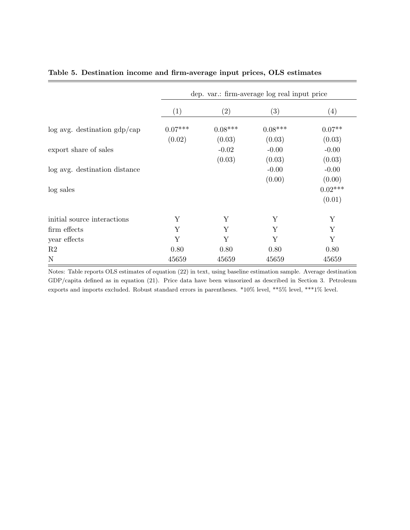|                                   | dep. var.: firm-average log real input price |                   |           |           |  |  |
|-----------------------------------|----------------------------------------------|-------------------|-----------|-----------|--|--|
|                                   | (1)                                          | $\left( 2\right)$ | (3)       | (4)       |  |  |
| $\log$ avg. destination $gdp/cap$ | $0.07***$                                    | $0.08***$         | $0.08***$ | $0.07**$  |  |  |
|                                   | (0.02)                                       | (0.03)            | (0.03)    | (0.03)    |  |  |
| export share of sales             |                                              | $-0.02$           | $-0.00$   | $-0.00$   |  |  |
|                                   |                                              | (0.03)            | (0.03)    | (0.03)    |  |  |
| log avg. destination distance     |                                              |                   | $-0.00$   | $-0.00$   |  |  |
|                                   |                                              |                   | (0.00)    | (0.00)    |  |  |
| log sales                         |                                              |                   |           | $0.02***$ |  |  |
|                                   |                                              |                   |           | (0.01)    |  |  |
| initial source interactions       | Υ                                            | Y                 | Y         | Y         |  |  |
| firm effects                      | Y                                            | Y                 | Y         | Y         |  |  |
| year effects                      | Y                                            | Y                 | Υ         | Y         |  |  |
| R2                                | 0.80                                         | 0.80              | 0.80      | 0.80      |  |  |
| $\mathbf N$                       | 45659                                        | 45659             | 45659     | 45659     |  |  |

## <span id="page-37-0"></span>Table 5. Destination income and firm-average input prices, OLS estimates

Notes: Table reports OLS estimates of equation [\(22\)](#page-18-2) in text, using baseline estimation sample. Average destination GDP/capita defined as in equation [\(21\)](#page-18-0). Price data have been winsorized as described in Section [3.](#page-13-1) Petroleum exports and imports excluded. Robust standard errors in parentheses. \*10% level, \*\*5% level, \*\*\*1% level.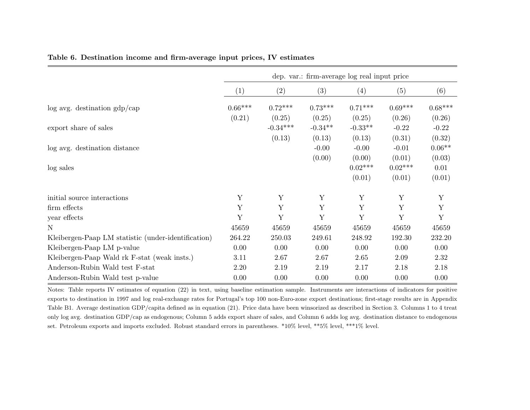|                                                     | dep. var.: firm-average log real input price |            |           |           |           |             |  |
|-----------------------------------------------------|----------------------------------------------|------------|-----------|-----------|-----------|-------------|--|
|                                                     | (1)                                          | (2)        | (3)       | (4)       | (5)       | (6)         |  |
| $\log$ avg. destination gdp/cap                     | $0.66***$                                    | $0.72***$  | $0.73***$ | $0.71***$ | $0.69***$ | $0.68***$   |  |
|                                                     | (0.21)                                       | (0.25)     | (0.25)    | (0.25)    | (0.26)    | (0.26)      |  |
| export share of sales                               |                                              | $-0.34***$ | $-0.34**$ | $-0.33**$ | $-0.22$   | $-0.22$     |  |
|                                                     |                                              | (0.13)     | (0.13)    | (0.13)    | (0.31)    | (0.32)      |  |
| log avg. destination distance                       |                                              |            | $-0.00$   | $-0.00$   | $-0.01$   | $0.06**$    |  |
|                                                     |                                              |            | (0.00)    | (0.00)    | (0.01)    | (0.03)      |  |
| log sales                                           |                                              |            |           | $0.02***$ | $0.02***$ | 0.01        |  |
|                                                     |                                              |            |           | (0.01)    | (0.01)    | (0.01)      |  |
| initial source interactions                         | Y                                            | Y          | Y         | Y         | Y         | Y           |  |
| firm effects                                        | Y                                            | Y          | Y         | Y         | Y         | $\mathbf Y$ |  |
| year effects                                        | Y                                            | Y          | Y         | Y         | Y         | Y           |  |
| N                                                   | 45659                                        | 45659      | 45659     | 45659     | 45659     | 45659       |  |
| Kleibergen-Paap LM statistic (under-identification) | 264.22                                       | 250.03     | 249.61    | 248.92    | 192.30    | 232.20      |  |
| Kleibergen-Paap LM p-value                          | 0.00                                         | 0.00       | 0.00      | 0.00      | 0.00      | 0.00        |  |
| Kleibergen-Paap Wald rk F-stat (weak insts.)        | 3.11                                         | 2.67       | 2.67      | 2.65      | 2.09      | 2.32        |  |
| Anderson-Rubin Wald test F-stat                     | 2.20                                         | 2.19       | 2.19      | 2.17      | 2.18      | 2.18        |  |
| Anderson-Rubin Wald test p-value                    | 0.00                                         | 0.00       | 0.00      | 0.00      | 0.00      | 0.00        |  |

## <span id="page-38-1"></span><span id="page-38-0"></span>Table 6. Destination income and firm-average input prices, IV estimates

Notes: Table reports IV estimates of equation [\(22\)](#page-18-3) in text, using baseline estimation sample. Instruments are interactions of indicators for positive exports to destination in <sup>1997</sup> and log real-exchange rates for Portugal's top <sup>100</sup> non-Euro-zone export destinations; first-stage results are in Appendix Table [B1.](#page-33-1) Average destination GDP/capita defined as in equation [\(21\)](#page-18-4). Price data have been winsorized as described in Section [3.](#page-13-2) Columns <sup>1</sup> to <sup>4</sup> treat only log avg. destination GDP/cap as endogenous; Column <sup>5</sup> adds export share of sales, and Column <sup>6</sup> adds log avg. destination distance to endogenous set. Petroleum exports and imports excluded. Robust standard errors in parentheses. \*10% level, \*\*5% level, \*\*\*1% level.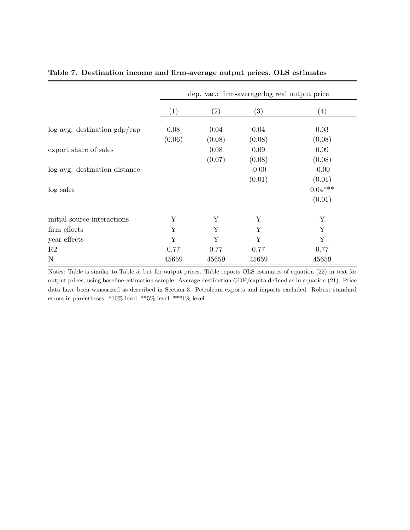|                                   | dep. var.: firm-average log real output price |        |         |                   |  |  |
|-----------------------------------|-----------------------------------------------|--------|---------|-------------------|--|--|
|                                   | (1)                                           | (2)    | (3)     | $\left( 4\right)$ |  |  |
| $\log$ avg. destination $gdp/cap$ | 0.08                                          | 0.04   | 0.04    | 0.03              |  |  |
|                                   | (0.06)                                        | (0.08) | (0.08)  | (0.08)            |  |  |
| export share of sales             |                                               | 0.08   | 0.09    | 0.09              |  |  |
|                                   |                                               | (0.07) | (0.08)  | (0.08)            |  |  |
| log avg. destination distance     |                                               |        | $-0.00$ | $-0.00$           |  |  |
|                                   |                                               |        | (0.01)  | (0.01)            |  |  |
| log sales                         |                                               |        |         | $0.04***$         |  |  |
|                                   |                                               |        |         | (0.01)            |  |  |
| initial source interactions       | Y                                             | Y      | Y       | Y                 |  |  |
| firm effects                      | Y                                             | Y      | Υ       | Y                 |  |  |
| year effects                      | Y                                             | Y      | Y       | Y                 |  |  |
| R2                                | 0.77                                          | 0.77   | 0.77    | 0.77              |  |  |
| $\mathbf N$                       | 45659                                         | 45659  | 45659   | 45659             |  |  |

## <span id="page-39-0"></span>Table 7. Destination income and firm-average output prices, OLS estimates

Notes: Table is similar to Table [5,](#page-37-0) but for output prices. Table reports OLS estimates of equation [\(22\)](#page-18-2) in text for output prices, using baseline estimation sample. Average destination GDP/capita defined as in equation [\(21\)](#page-18-0). Price data have been winsorized as described in Section [3.](#page-13-1) Petroleum exports and imports excluded. Robust standard errors in parentheses. \*10% level, \*\*5% level, \*\*\*1% level.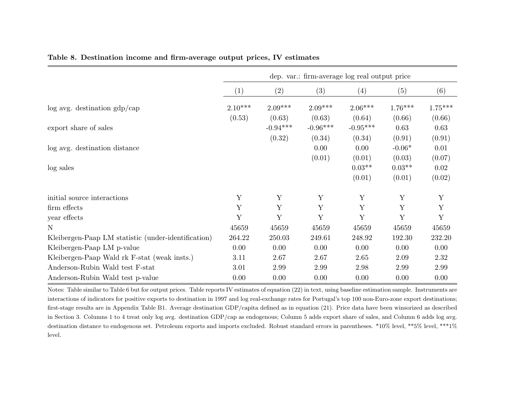|                                                     | dep. var.: firm-average log real output price |            |             |            |           |             |
|-----------------------------------------------------|-----------------------------------------------|------------|-------------|------------|-----------|-------------|
|                                                     | (1)                                           | (2)        | (3)         | (4)        | (5)       | (6)         |
| $\log$ avg. destination gdp/cap                     | $2.10***$                                     | $2.09***$  | $2.09***$   | $2.06***$  | $1.76***$ | $1.75***$   |
|                                                     | (0.53)                                        | (0.63)     | (0.63)      | (0.64)     | (0.66)    | (0.66)      |
| export share of sales                               |                                               | $-0.94***$ | $-0.96***$  | $-0.95***$ | 0.63      | 0.63        |
|                                                     |                                               | (0.32)     | (0.34)      | (0.34)     | (0.91)    | (0.91)      |
| log avg. destination distance                       |                                               |            | 0.00        | 0.00       | $-0.06*$  | 0.01        |
|                                                     |                                               |            | (0.01)      | (0.01)     | (0.03)    | (0.07)      |
| log sales                                           |                                               |            |             | $0.03**$   | $0.03**$  | 0.02        |
|                                                     |                                               |            |             | (0.01)     | (0.01)    | (0.02)      |
| initial source interactions                         | Y                                             | Y          | Y           | Y          | Y         | Y           |
| firm effects                                        | Y                                             | Y          | $\mathbf Y$ | Y          | Y         | $\mathbf Y$ |
| year effects                                        | Y                                             | Y          | Y           | Y          | Y         | Y           |
| N                                                   | 45659                                         | 45659      | 45659       | 45659      | 45659     | 45659       |
| Kleibergen-Paap LM statistic (under-identification) | 264.22                                        | 250.03     | 249.61      | 248.92     | 192.30    | 232.20      |
| Kleibergen-Paap LM p-value                          | 0.00                                          | 0.00       | 0.00        | 0.00       | 0.00      | 0.00        |
| Kleibergen-Paap Wald rk F-stat (weak insts.)        | 3.11                                          | 2.67       | 2.67        | 2.65       | 2.09      | 2.32        |
| Anderson-Rubin Wald test F-stat                     | 3.01                                          | 2.99       | 2.99        | 2.98       | 2.99      | 2.99        |
| Anderson-Rubin Wald test p-value                    | 0.00                                          | 0.00       | 0.00        | 0.00       | 0.00      | 0.00        |

## <span id="page-40-0"></span>Table 8. Destination income and firm-average output prices, IV estimates

Notes: Table similar to Table [6](#page-38-1) but for output prices. Table reports IV estimates of equation ([22\)](#page-18-3) in text, using baseline estimation sample. Instruments are interactions of indicators for positive exports to destination in <sup>1997</sup> and log real-exchange rates for Portugal's top <sup>100</sup> non-Euro-zone export destinations; first-stage results are in Appendix Table [B1.](#page-33-1) Average destination GDP/capita defined as in equation [\(21\)](#page-18-4). Price data have been winsorized as described in Section [3.](#page-13-2) Columns <sup>1</sup> to <sup>4</sup> treat only log avg. destination GDP/cap as endogenous; Column <sup>5</sup> adds export share of sales, and Column <sup>6</sup> adds log avg. destination distance to endogenous set. Petroleum exports and imports excluded. Robust standard errors in parentheses. \*10% level, \*\*5% level, \*\*\*1%level.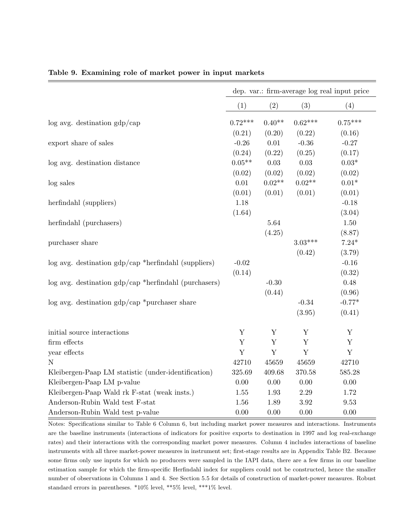|                                                            | dep. var.: firm-average log real input price |             |             |               |
|------------------------------------------------------------|----------------------------------------------|-------------|-------------|---------------|
|                                                            | (1)                                          | (2)         | (3)         | (4)           |
| $\log$ avg. destination $gdp/cap$                          | $0.72***$                                    | $0.40**$    | $0.62***$   | $0.75***$     |
|                                                            | (0.21)                                       | (0.20)      | (0.22)      | (0.16)        |
| export share of sales                                      | $-0.26$                                      | 0.01        | $-0.36$     | $-0.27$       |
|                                                            | (0.24)                                       | (0.22)      | (0.25)      | (0.17)        |
| log avg. destination distance                              | $0.05**$                                     | $0.03\,$    | 0.03        | $0.03^{\ast}$ |
|                                                            | (0.02)                                       | (0.02)      | (0.02)      | (0.02)        |
| log sales                                                  | $0.01\,$                                     | $0.02**$    | $0.02**$    | $0.01^{\ast}$ |
|                                                            | (0.01)                                       | (0.01)      | (0.01)      | (0.01)        |
| herfindahl (suppliers)                                     | 1.18                                         |             |             | $-0.18$       |
|                                                            | (1.64)                                       |             |             | (3.04)        |
| herfindahl (purchasers)                                    |                                              | 5.64        |             | 1.50          |
|                                                            |                                              | (4.25)      |             | (8.87)        |
| purchaser share                                            |                                              |             | $3.03***$   | $7.24*$       |
|                                                            |                                              |             | (0.42)      | (3.79)        |
| $\log$ avg. destination $gdp/cap$ *herfindahl (suppliers)  | $-0.02$                                      |             |             | $-0.16$       |
|                                                            | (0.14)                                       |             |             | (0.32)        |
| $\log$ avg. destination $gdp/cap$ *herfindahl (purchasers) |                                              | $-0.30$     |             | 0.48          |
|                                                            |                                              | (0.44)      |             | (0.96)        |
| $\log$ avg. destination $gdp/cap *purchaser share$         |                                              |             | $-0.34$     | $-0.77*$      |
|                                                            |                                              |             | (3.95)      | (0.41)        |
| initial source interactions                                | Y                                            | Y           | Y           | Y             |
| firm effects                                               | $\mathbf Y$                                  | $\mathbf Y$ | Y           | $\mathbf Y$   |
| year effects                                               | $\mathbf Y$                                  | $\mathbf Y$ | $\mathbf Y$ | Y             |
| N                                                          | 42710                                        | 45659       | 45659       | 42710         |
| Kleibergen-Paap LM statistic (under-identification)        | 325.69                                       | 409.68      | 370.58      | 585.28        |
| Kleibergen-Paap LM p-value                                 | 0.00                                         | 0.00        | 0.00        | 0.00          |
| Kleibergen-Paap Wald rk F-stat (weak insts.)               | 1.55                                         | 1.93        | 2.29        | 1.72          |
| Anderson-Rubin Wald test F-stat                            | 1.56                                         | 1.89        | 3.92        | 9.53          |
| Anderson-Rubin Wald test p-value                           | 0.00                                         | 0.00        | 0.00        | 0.00          |

### <span id="page-41-0"></span>Table 9. Examining role of market power in input markets

Notes: Specifications similar to Table [6](#page-38-0) Column 6, but including market power measures and interactions. Instruments are the baseline instruments (interactions of indicators for positive exports to destination in 1997 and log real-exchange rates) and their interactions with the corresponding market power measures. Column 4 includes interactions of baseline instruments with all three market-power measures in instrument set; first-stage results are in Appendix Table [B2.](#page-34-0) Because some firms only use inputs for which no producers were sampled in the IAPI data, there are a few firms in our baseline estimation sample for which the firm-specific Herfindahl index for suppliers could not be constructed, hence the smaller number of observations in Columns 1 and 4. See Section [5.5](#page-25-0) for details of construction of market-power measures. Robust standard errors in parentheses. \*10% level, \*\*5% level, \*\*\*1% level.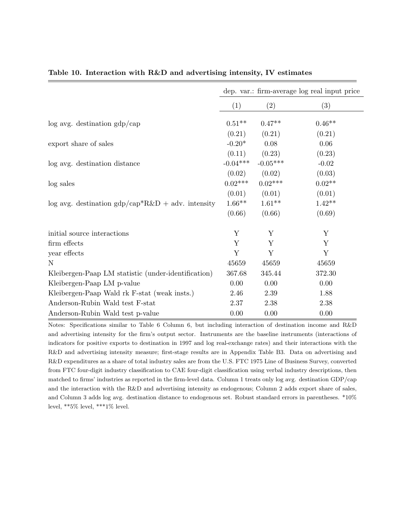|                                                           | dep. var.: firm-average log real input price |            |          |  |
|-----------------------------------------------------------|----------------------------------------------|------------|----------|--|
|                                                           | (1)                                          | (2)        | (3)      |  |
| $log$ avg. destination $gdp/cap$                          | $0.51***$                                    | $0.47**$   | $0.46**$ |  |
|                                                           | (0.21)                                       | (0.21)     | (0.21)   |  |
| export share of sales                                     | $-0.20*$                                     | 0.08       | 0.06     |  |
|                                                           | (0.11)                                       | (0.23)     | (0.23)   |  |
| log avg. destination distance                             | $-0.04***$                                   | $-0.05***$ | $-0.02$  |  |
|                                                           | (0.02)                                       | (0.02)     | (0.03)   |  |
| log sales                                                 | $0.02***$                                    | $0.02***$  | $0.02**$ |  |
|                                                           | (0.01)                                       | (0.01)     | (0.01)   |  |
| $\log$ avg. destination $gdp/cap^*R\&D + adv$ . intensity | $1.66**$                                     | $1.61**$   | $1.42**$ |  |
|                                                           | (0.66)                                       | (0.66)     | (0.69)   |  |
| initial source interactions                               | Y                                            | Y          | Y        |  |
| firm effects                                              | Y                                            | Y          | Y        |  |
| year effects                                              | Y                                            | Y          | Y        |  |
| N                                                         | 45659                                        | 45659      | 45659    |  |
| Kleibergen-Paap LM statistic (under-identification)       | 367.68                                       | 345.44     | 372.30   |  |
| Kleibergen-Paap LM p-value                                | 0.00                                         | 0.00       | 0.00     |  |
| Kleibergen-Paap Wald rk F-stat (weak insts.)              | 2.46                                         | 2.39       | 1.88     |  |
| Anderson-Rubin Wald test F-stat                           | 2.37                                         | 2.38       | 2.38     |  |
| Anderson-Rubin Wald test p-value                          | 0.00                                         | 0.00       | 0.00     |  |

## <span id="page-42-0"></span>Table 10. Interaction with R&D and advertising intensity, IV estimates

Notes: Specifications similar to Table [6](#page-38-0) Column 6, but including interaction of destination income and R&D and advertising intensity for the firm's output sector. Instruments are the baseline instruments (interactions of indicators for positive exports to destination in 1997 and log real-exchange rates) and their interactions with the R&D and advertising intensity measure; first-stage results are in Appendix Table [B3.](#page-35-0) Data on advertising and R&D expenditures as a share of total industry sales are from the U.S. FTC 1975 Line of Business Survey, converted from FTC four-digit industry classification to CAE four-digit classification using verbal industry descriptions, then matched to firms' industries as reported in the firm-level data. Column 1 treats only log avg. destination GDP/cap and the interaction with the R&D and advertising intensity as endogenous; Column 2 adds export share of sales, and Column 3 adds log avg. destination distance to endogenous set. Robust standard errors in parentheses. \*10% level, \*\*5% level, \*\*\*1% level.